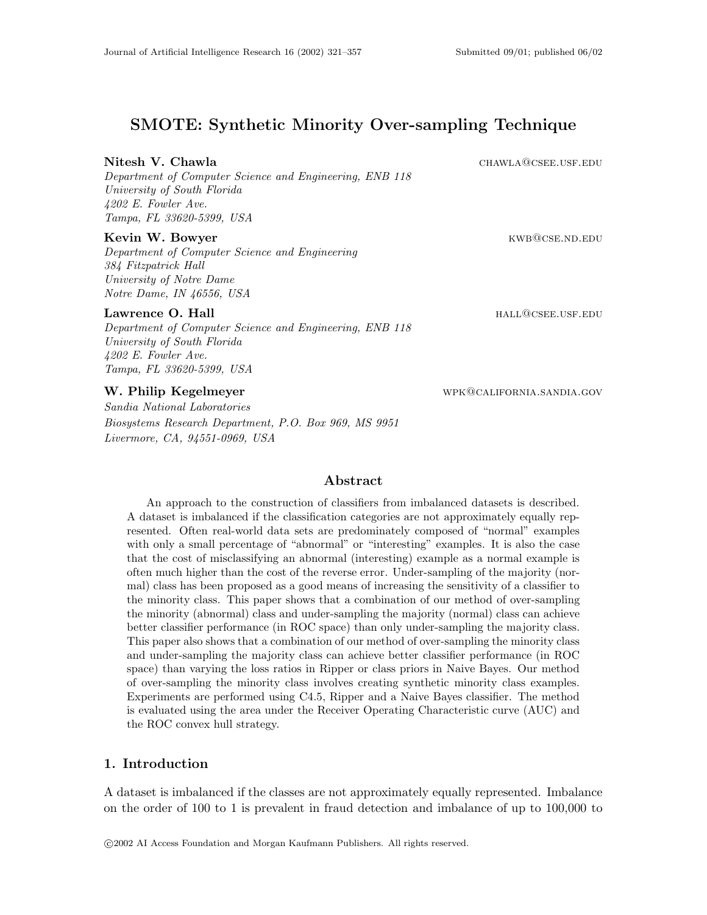# **SMOTE: Synthetic Minority Over-sampling Technique**

#### **Nitesh V. Chawla** chambia chawla chawla chawla chawla chawla chawla chawla chawla chawla chawla chambia chambia cha

*Department of Computer Science and Engineering, ENB 118 University of South Florida 4202 E. Fowler Ave. Tampa, FL 33620-5399, USA*

#### **Kevin W. Bowyer Kevin W. Bowyer KWB@CSE.ND.EDU**

*Department of Computer Science and Engineering 384 Fitzpatrick Hall University of Notre Dame Notre Dame, IN 46556, USA*

#### **Lawrence O. Hall hall hall hall hall hall hall hall hall hall hall hall hall hall hall h**

*Department of Computer Science and Engineering, ENB 118 University of South Florida 4202 E. Fowler Ave. Tampa, FL 33620-5399, USA*

## **W. Philip Kegelmeyer** wpk@california.sandia.gov

*Sandia National Laboratories Biosystems Research Department, P.O. Box 969, MS 9951 Livermore, CA, 94551-0969, USA*

#### **Abstract**

An approach to the construction of classifiers from imbalanced datasets is described. A dataset is imbalanced if the classification categories are not approximately equally represented. Often real-world data sets are predominately composed of "normal" examples with only a small percentage of "abnormal" or "interesting" examples. It is also the case that the cost of misclassifying an abnormal (interesting) example as a normal example is often much higher than the cost of the reverse error. Under-sampling of the majority (normal) class has been proposed as a good means of increasing the sensitivity of a classifier to the minority class. This paper shows that a combination of our method of over-sampling the minority (abnormal) class and under-sampling the majority (normal) class can achieve better classifier performance (in ROC space) than only under-sampling the majority class. This paper also shows that a combination of our method of over-sampling the minority class and under-sampling the majority class can achieve better classifier performance (in ROC space) than varying the loss ratios in Ripper or class priors in Naive Bayes. Our method of over-sampling the minority class involves creating synthetic minority class examples. Experiments are performed using C4.5, Ripper and a Naive Bayes classifier. The method is evaluated using the area under the Receiver Operating Characteristic curve (AUC) and the ROC convex hull strategy.

## **1. Introduction**

A dataset is imbalanced if the classes are not approximately equally represented. Imbalance on the order of 100 to 1 is prevalent in fraud detection and imbalance of up to 100,000 to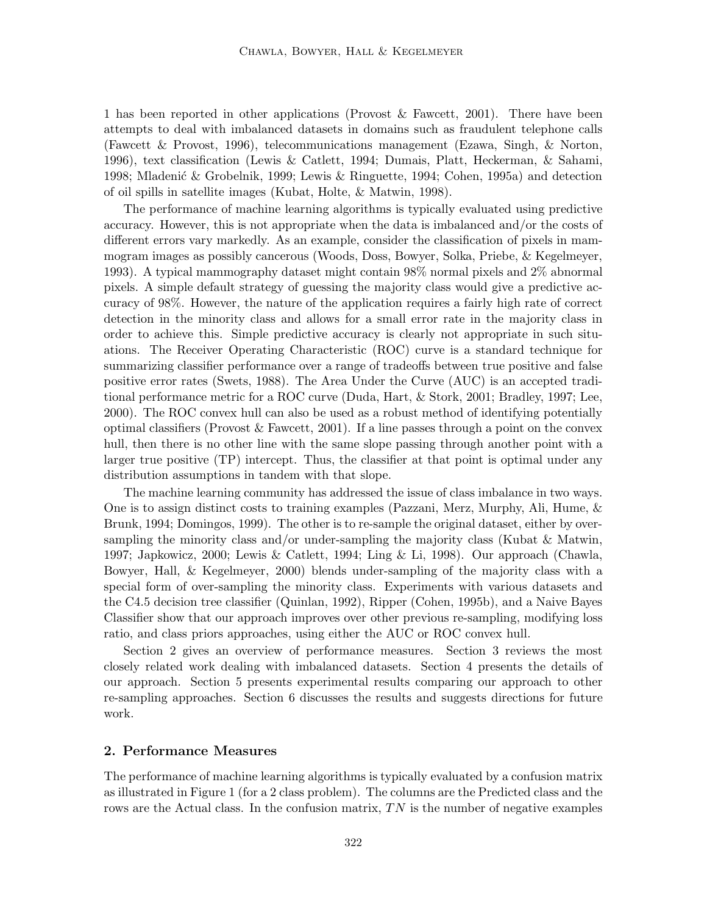1 has been reported in other applications (Provost & Fawcett, 2001). There have been attempts to deal with imbalanced datasets in domains such as fraudulent telephone calls (Fawcett & Provost, 1996), telecommunications management (Ezawa, Singh, & Norton, 1996), text classification (Lewis & Catlett, 1994; Dumais, Platt, Heckerman, & Sahami, 1998; Mladenić & Grobelnik, 1999; Lewis & Ringuette, 1994; Cohen, 1995a) and detection of oil spills in satellite images (Kubat, Holte, & Matwin, 1998).

The performance of machine learning algorithms is typically evaluated using predictive accuracy. However, this is not appropriate when the data is imbalanced and/or the costs of different errors vary markedly. As an example, consider the classification of pixels in mammogram images as possibly cancerous (Woods, Doss, Bowyer, Solka, Priebe, & Kegelmeyer, 1993). A typical mammography dataset might contain 98% normal pixels and 2% abnormal pixels. A simple default strategy of guessing the majority class would give a predictive accuracy of 98%. However, the nature of the application requires a fairly high rate of correct detection in the minority class and allows for a small error rate in the majority class in order to achieve this. Simple predictive accuracy is clearly not appropriate in such situations. The Receiver Operating Characteristic (ROC)curve is a standard technique for summarizing classifier performance over a range of tradeoffs between true positive and false positive error rates (Swets, 1988). The Area Under the Curve (AUC) is an accepted traditional performance metric for a ROC curve (Duda, Hart, & Stork, 2001; Bradley, 1997; Lee, 2000). The ROC convex hull can also be used as a robust method of identifying potentially optimal classifiers (Provost  $\&$  Fawcett, 2001). If a line passes through a point on the convex hull, then there is no other line with the same slope passing through another point with a larger true positive (TP) intercept. Thus, the classifier at that point is optimal under any distribution assumptions in tandem with that slope.

The machine learning community has addressed the issue of class imbalance in two ways. One is to assign distinct costs to training examples (Pazzani, Merz, Murphy, Ali, Hume, & Brunk, 1994; Domingos, 1999). The other is to re-sample the original dataset, either by oversampling the minority class and/or under-sampling the majority class (Kubat  $\&$  Matwin, 1997; Japkowicz, 2000; Lewis & Catlett, 1994; Ling & Li, 1998). Our approach (Chawla, Bowyer, Hall,  $\&$  Kegelmeyer, 2000) blends under-sampling of the majority class with a special form of over-sampling the minority class. Experiments with various datasets and the C4.5 decision tree classifier (Quinlan, 1992), Ripper (Cohen, 1995b), and a Naive Bayes Classifier show that our approach improves over other previous re-sampling, modifying loss ratio, and class priors approaches, using either the AUC or ROC convex hull.

Section 2 gives an overview of performance measures. Section 3 reviews the most closely related work dealing with imbalanced datasets. Section 4 presents the details of our approach. Section 5 presents experimental results comparing our approach to other re-sampling approaches. Section 6 discusses the results and suggests directions for future work.

#### **2. Performance Measures**

The performance of machine learning algorithms is typically evaluated by a confusion matrix as illustrated in Figure 1 (for a 2 class problem). The columns are the Predicted class and the rows are the Actual class. In the confusion matrix,  $TN$  is the number of negative examples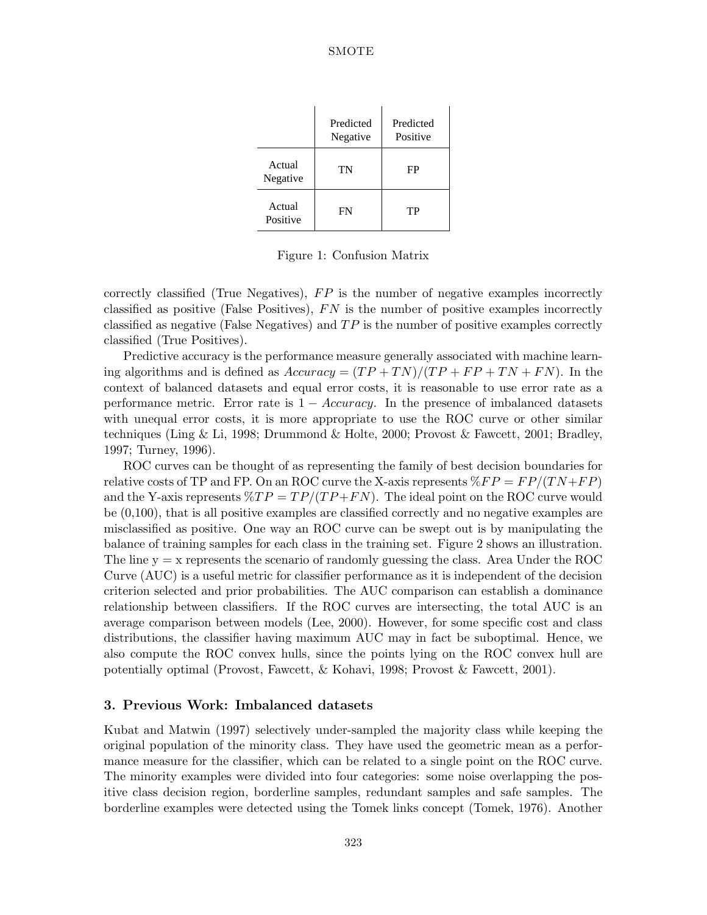|                    | Predicted<br>Negative | Predicted<br>Positive |
|--------------------|-----------------------|-----------------------|
| Actual<br>Negative | TN                    | FP                    |
| Actual<br>Positive | FN                    | TР                    |

Figure 1: Confusion Matrix

correctly classified (True Negatives),  $FP$  is the number of negative examples incorrectly classified as positive (False Positives),  $FN$  is the number of positive examples incorrectly classified as negative (False Negatives) and  $TP$  is the number of positive examples correctly classified (True Positives).

Predictive accuracy is the performance measure generally associated with machine learning algorithms and is defined as  $Accuracy = (TP + TN)/(TP + FP + TN + FN)$ . In the context of balanced datasets and equal error costs, it is reasonable to use error rate as a performance metric. Error rate is  $1 - Accuracy$ . In the presence of imbalanced datasets with unequal error costs, it is more appropriate to use the ROC curve or other similar techniques (Ling & Li, 1998; Drummond & Holte, 2000; Provost & Fawcett, 2001; Bradley, 1997; Turney, 1996).

ROC curves can be thought of as representing the family of best decision boundaries for relative costs of TP and FP. On an ROC curve the X-axis represents  $\mathcal{R}FP = FP/(TN + FP)$ and the Y-axis represents  $\mathcal{R}TP = TP/(TP + FN)$ . The ideal point on the ROC curve would be (0,100), that is all positive examples are classified correctly and no negative examples are misclassified as positive. One way an ROC curve can be swept out is by manipulating the balance of training samples for each class in the training set. Figure 2 shows an illustration. The line  $y = x$  represents the scenario of randomly guessing the class. Area Under the ROC Curve  $(AUC)$  is a useful metric for classifier performance as it is independent of the decision criterion selected and prior probabilities. The AUC comparison can establish a dominance relationship between classifiers. If the ROC curves are intersecting, the total AUC is an average comparison between models (Lee, 2000). However, for some specific cost and class distributions, the classifier having maximum AUC may in fact be suboptimal. Hence, we also compute the ROC convex hulls, since the points lying on the ROC convex hull are potentially optimal (Provost, Fawcett, & Kohavi, 1998; Provost & Fawcett, 2001).

### **3. Previous Work: Imbalanced datasets**

Kubat and Matwin (1997) selectively under-sampled the majority class while keeping the original population of the minority class. They have used the geometric mean as a performance measure for the classifier, which can be related to a single point on the ROC curve. The minority examples were divided into four categories: some noise overlapping the positive class decision region, borderline samples, redundant samples and safe samples. The borderline examples were detected using the Tomek links concept (Tomek, 1976). Another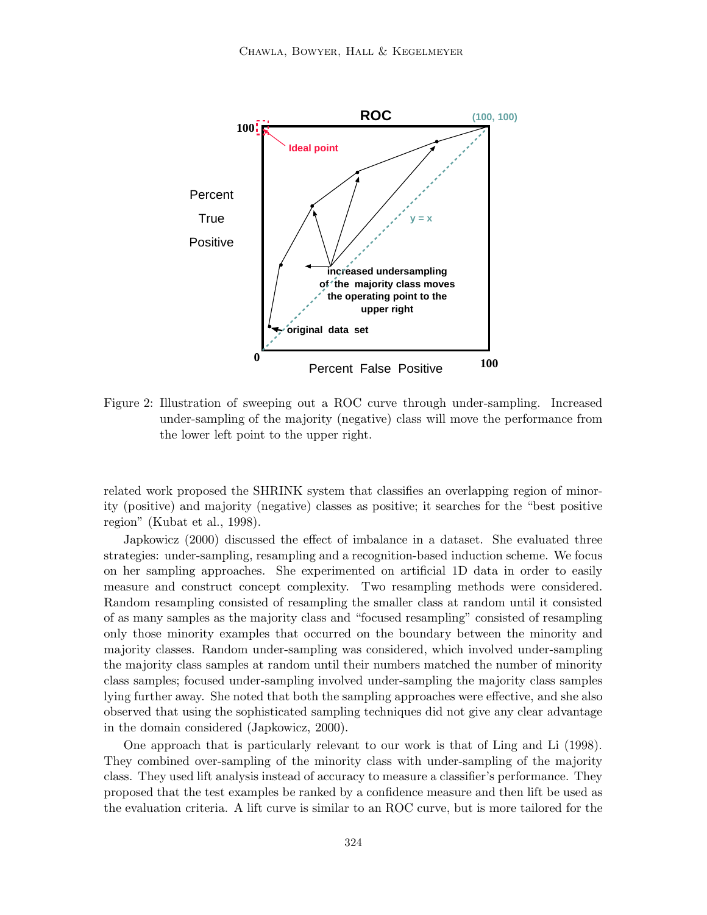

Figure 2: Illustration of sweeping out a ROC curve through under-sampling. Increased under-sampling of the majority (negative) class will move the performance from the lower left point to the upper right.

related work proposed the SHRINK system that classifies an overlapping region of minority (positive) and majority (negative) classes as positive; it searches for the "best positive" region" (Kubat et al., 1998).

Japkowicz (2000) discussed the effect of imbalance in a dataset. She evaluated three strategies: under-sampling, resampling and a recognition-based induction scheme. We focus on her sampling approaches. She experimented on artificial 1D data in order to easily measure and construct concept complexity. Two resampling methods were considered. Random resampling consisted of resampling the smaller class at random until it consisted of as many samples as the majority class and "focused resampling" consisted of resampling only those minority examples that occurred on the boundary between the minority and majority classes. Random under-sampling was considered, which involved under-sampling the majority class samples at random until their numbers matched the number of minority class samples; focused under-sampling involved under-sampling the majority class samples lying further away. She noted that both the sampling approaches were effective, and she also observed that using the sophisticated sampling techniques did not give any clear advantage in the domain considered (Japkowicz, 2000).

One approach that is particularly relevant to our work is that of Ling and Li (1998). They combined over-sampling of the minority class with under-sampling of the majority class. They used lift analysis instead of accuracy to measure a classifier's performance. They proposed that the test examples be ranked by a confidence measure and then lift be used as the evaluation criteria. A lift curve is similar to an ROC curve, but is more tailored for the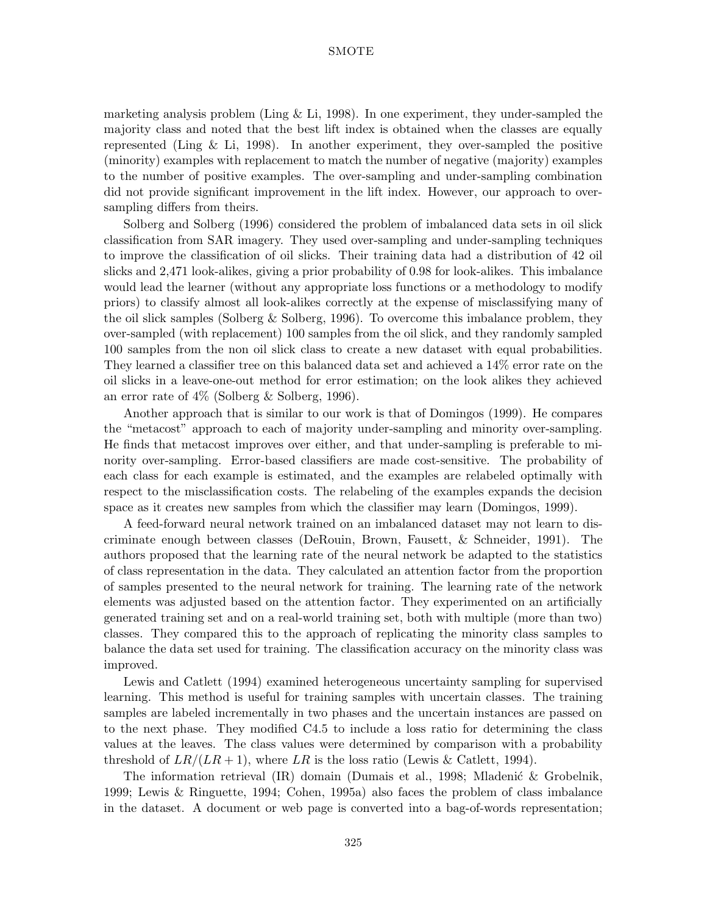marketing analysis problem (Ling  $&$  Li, 1998). In one experiment, they under-sampled the majority class and noted that the best lift index is obtained when the classes are equally represented (Ling  $\&$  Li, 1998). In another experiment, they over-sampled the positive (minority) examples with replacement to match the number of negative (majority) examples to the number of positive examples. The over-sampling and under-sampling combination did not provide significant improvement in the lift index. However, our approach to oversampling differs from theirs.

Solberg and Solberg (1996) considered the problem of imbalanced data sets in oil slick classification from SAR imagery. They used over-sampling and under-sampling techniques to improve the classification of oil slicks. Their training data had a distribution of 42 oil slicks and 2,471 look-alikes, giving a prior probability of 0.98 for look-alikes. This imbalance would lead the learner (without any appropriate loss functions or a methodology to modify priors) to classify almost all look-alikes correctly at the expense of misclassifying many of the oil slick samples (Solberg & Solberg, 1996). To overcome this imbalance problem, they over-sampled (with replacement)100 samples from the oil slick, and they randomly sampled 100 samples from the non oil slick class to create a new dataset with equal probabilities. They learned a classifier tree on this balanced data set and achieved a 14% error rate on the oil slicks in a leave-one-out method for error estimation; on the look alikes they achieved an error rate of 4% (Solberg & Solberg, 1996).

Another approach that is similar to our work is that of Domingos (1999). He compares the "metacost" approach to each of majority under-sampling and minority over-sampling. He finds that metacost improves over either, and that under-sampling is preferable to minority over-sampling. Error-based classifiers are made cost-sensitive. The probability of each class for each example is estimated, and the examples are relabeled optimally with respect to the misclassification costs. The relabeling of the examples expands the decision space as it creates new samples from which the classifier may learn (Domingos, 1999).

A feed-forward neural network trained on an imbalanced dataset may not learn to discriminate enough between classes (DeRouin, Brown, Fausett, & Schneider, 1991). The authors proposed that the learning rate of the neural network be adapted to the statistics of class representation in the data. They calculated an attention factor from the proportion of samples presented to the neural network for training. The learning rate of the network elements was adjusted based on the attention factor. They experimented on an artificially generated training set and on a real-world training set, both with multiple (more than two) classes. They compared this to the approach of replicating the minority class samples to balance the data set used for training. The classification accuracy on the minority class was improved.

Lewis and Catlett (1994) examined heterogeneous uncertainty sampling for supervised learning. This method is useful for training samples with uncertain classes. The training samples are labeled incrementally in two phases and the uncertain instances are passed on to the next phase. They modified C4.5 to include a loss ratio for determining the class values at the leaves. The class values were determined by comparison with a probability threshold of  $LR/(LR+1)$ , where LR is the loss ratio (Lewis & Catlett, 1994).

The information retrieval  $(IR)$  domain (Dumais et al., 1998; Mladenić & Grobelnik, 1999; Lewis & Ringuette, 1994; Cohen, 1995a) also faces the problem of class imbalance in the dataset. A document or web page is converted into a bag-of-words representation;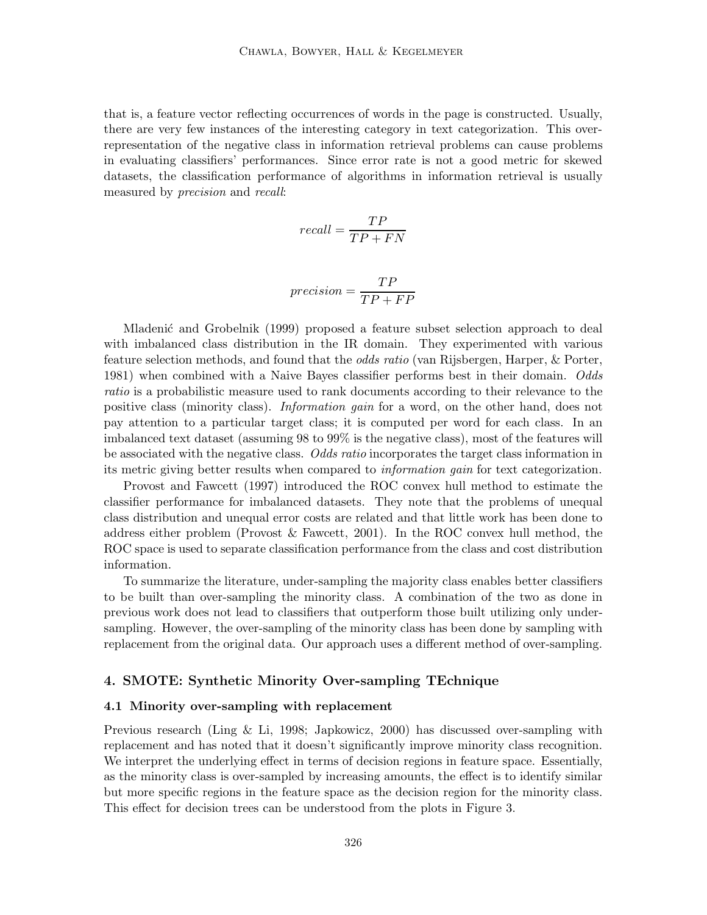that is, a feature vector reflecting occurrences of words in the page is constructed. Usually, there are very few instances of the interesting category in text categorization. This overrepresentation of the negative class in information retrieval problems can cause problems in evaluating classifiers' performances. Since error rate is not a good metric for skewed datasets, the classification performance of algorithms in information retrieval is usually measured by *precision* and *recall*:

$$
recall = \frac{TP}{TP + FN}
$$

$$
precision = \frac{TP}{TP + FP}
$$

Mladenić and Grobelnik (1999) proposed a feature subset selection approach to deal with imbalanced class distribution in the IR domain. They experimented with various feature selection methods, and found that the *odds ratio* (van Rijsbergen, Harper, & Porter, 1981) when combined with a Naive Bayes classifier performs best in their domain. *Odds ratio* is a probabilistic measure used to rank documents according to their relevance to the positive class (minority class). *Information gain* for a word, on the other hand, does not pay attention to a particular target class; it is computed per word for each class. In an imbalanced text dataset (assuming 98 to 99% is the negative class), most of the features will be associated with the negative class. *Odds ratio* incorporates the target class information in its metric giving better results when compared to *information gain* for text categorization.

Provost and Fawcett (1997) introduced the ROC convex hull method to estimate the classifier performance for imbalanced datasets. They note that the problems of unequal class distribution and unequal error costs are related and that little work has been done to address either problem (Provost & Fawcett, 2001). In the ROC convex hull method, the ROC space is used to separate classification performance from the class and cost distribution information.

To summarize the literature, under-sampling the majority class enables better classifiers to be built than over-sampling the minority class. A combination of the two as done in previous work does not lead to classifiers that outperform those built utilizing only undersampling. However, the over-sampling of the minority class has been done by sampling with replacement from the original data. Our approach uses a different method of over-sampling.

#### **4. SMOTE: Synthetic Minority Over-sampling TEchnique**

#### **4.1 Minority over-sampling with replacement**

Previous research (Ling  $\&$  Li, 1998; Japkowicz, 2000) has discussed over-sampling with replacement and has noted that it doesn't significantly improve minority class recognition. We interpret the underlying effect in terms of decision regions in feature space. Essentially, as the minority class is over-sampled by increasing amounts, the effect is to identify similar but more specific regions in the feature space as the decision region for the minority class. This effect for decision trees can be understood from the plots in Figure 3.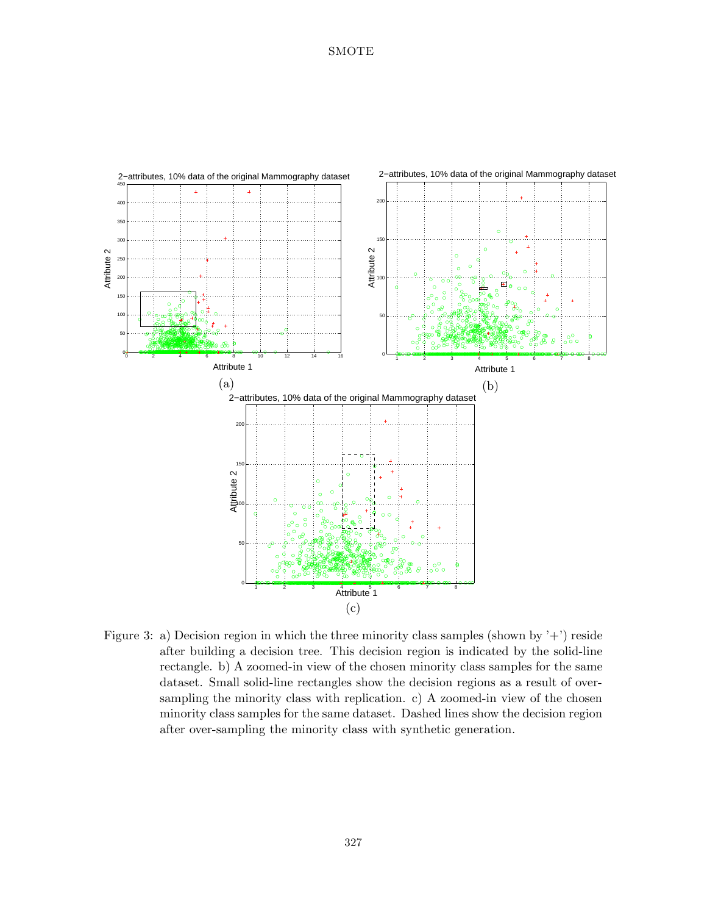

Figure 3: a) Decision region in which the three minority class samples (shown by  $'$ +') reside after building a decision tree. This decision region is indicated by the solid-line rectangle. b)A zoomed-in view of the chosen minority class samples for the same dataset. Small solid-line rectangles show the decision regions as a result of oversampling the minority class with replication.  $c$ ) A zoomed-in view of the chosen minority class samples for the same dataset. Dashed lines show the decision region after over-sampling the minority class with synthetic generation.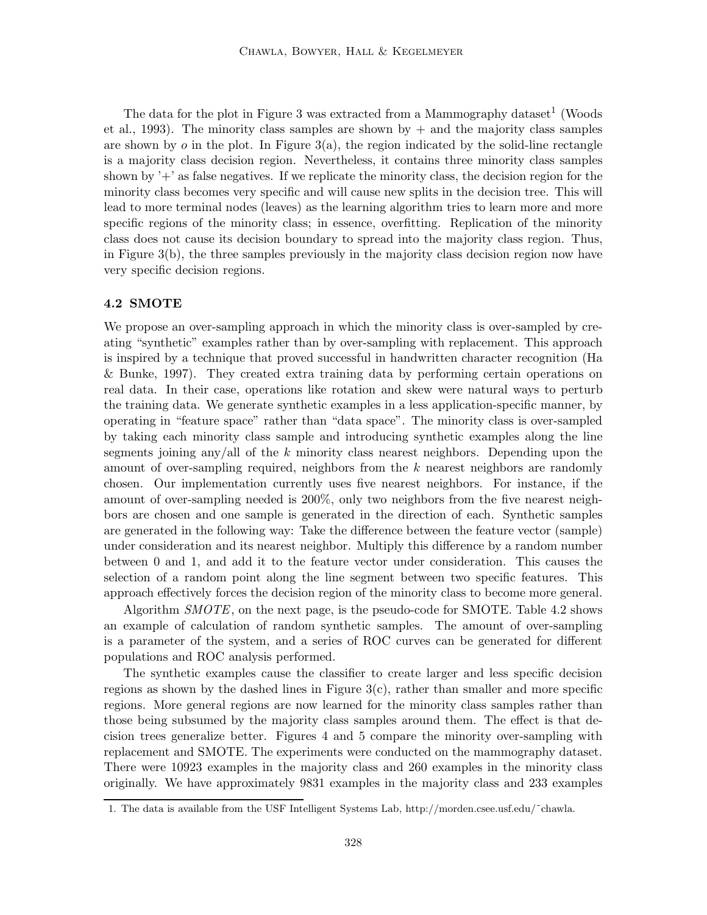The data for the plot in Figure 3 was extracted from a Mammography dataset<sup>1</sup> (Woods et al., 1993). The minority class samples are shown by  $+$  and the majority class samples are shown by  $\sigma$  in the plot. In Figure 3(a), the region indicated by the solid-line rectangle is a majority class decision region. Nevertheless, it contains three minority class samples shown by  $+$  as false negatives. If we replicate the minority class, the decision region for the minority class becomes very specific and will cause new splits in the decision tree. This will lead to more terminal nodes (leaves) as the learning algorithm tries to learn more and more specific regions of the minority class; in essence, overfitting. Replication of the minority class does not cause its decision boundary to spread into the majority class region. Thus, in Figure 3(b), the three samples previously in the majority class decision region now have very specific decision regions.

#### **4.2 SMOTE**

We propose an over-sampling approach in which the minority class is over-sampled by creating "synthetic" examples rather than by over-sampling with replacement. This approach is inspired by a technique that proved successful in handwritten character recognition (Ha & Bunke, 1997). They created extra training data by performing certain operations on real data. In their case, operations like rotation and skew were natural ways to perturb the training data. We generate synthetic examples in a less application-specific manner, by operating in "feature space" rather than "data space". The minority class is over-sampled by taking each minority class sample and introducing synthetic examples along the line segments joining any/all of the k minority class nearest neighbors. Depending upon the amount of over-sampling required, neighbors from the k nearest neighbors are randomly chosen. Our implementation currently uses five nearest neighbors. For instance, if the amount of over-sampling needed is 200%, only two neighbors from the five nearest neighbors are chosen and one sample is generated in the direction of each. Synthetic samples are generated in the following way: Take the difference between the feature vector (sample) under consideration and its nearest neighbor. Multiply this difference by a random number between 0 and 1, and add it to the feature vector under consideration. This causes the selection of a random point along the line segment between two specific features. This approach effectively forces the decision region of the minority class to become more general.

Algorithm *SMOTE*, on the next page, is the pseudo-code for SMOTE. Table 4.2 shows an example of calculation of random synthetic samples. The amount of over-sampling is a parameter of the system, and a series of ROC curves can be generated for different populations and ROC analysis performed.

The synthetic examples cause the classifier to create larger and less specific decision regions as shown by the dashed lines in Figure  $3(c)$ , rather than smaller and more specific regions. More general regions are now learned for the minority class samples rather than those being subsumed by the majority class samples around them. The effect is that decision trees generalize better. Figures 4 and 5 compare the minority over-sampling with replacement and SMOTE. The experiments were conducted on the mammography dataset. There were 10923 examples in the majority class and 260 examples in the minority class originally. We have approximately 9831 examples in the majority class and 233 examples

<sup>1.</sup> The data is available from the USF Intelligent Systems Lab, http://morden.csee.usf.edu/˜chawla.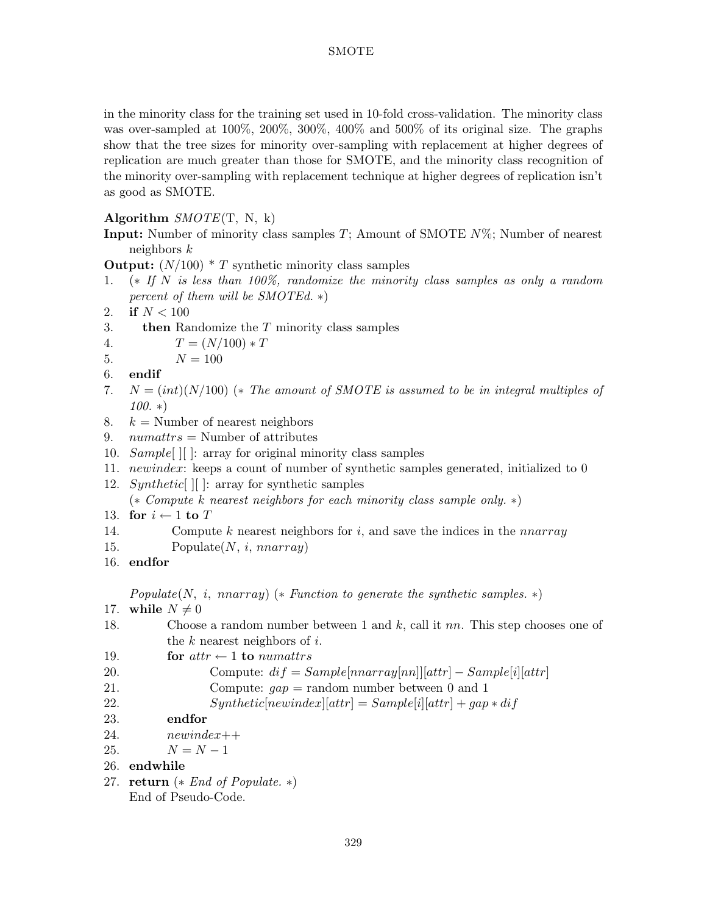in the minority class for the training set used in 10-fold cross-validation. The minority class was over-sampled at 100%, 200%, 300%, 400% and 500% of its original size. The graphs show that the tree sizes for minority over-sampling with replacement at higher degrees of replication are much greater than those for SMOTE, and the minority class recognition of the minority over-sampling with replacement technique at higher degrees of replication isn't as good as SMOTE.

## **Algorithm** *SMOTE*(T, N, k)

**Input:** Number of minority class samples T; Amount of SMOTE  $N\%$ ; Number of nearest neighbors k

**Output:**  $(N/100) * T$  synthetic minority class samples

- 1. (∗ *If* N *is less than 100%, randomize the minority class samples as only a random percent of them will be SMOTEd.* ∗)
- 2. **if**  $N < 100$
- 3. **then** Randomize the T minority class samples
- 4.  $T = (N/100) * T$ <br>5.  $N = 100$
- $N = 100$
- 6. **endif**
- 7. N = (int)(N/100)(∗ *The amount of SMOTE is assumed to be in integral multiples of 100.* ∗)
- 8.  $k =$  Number of nearest neighbors
- 9.  $numatts =$  Number of attributes
- 10. Sample  $\vert\vert$  : array for original minority class samples
- 11. newindex: keeps a count of number of synthetic samples generated, initialized to 0
- 12. Synthetic  $\vert\vert$  : array for synthetic samples

(∗ *Compute* k *nearest neighbors for each minority class sample only.* ∗)

- 13. **for**  $i \leftarrow 1$  **to** T<br>14. **Computer**
- Compute k nearest neighbors for i, and save the indices in the *nnarray*
- 15. Populate $(N, i,$  nnarray)
- 16. **endfor**

*Populate*(N, i, nnarray) (∗ *Function to generate the synthetic samples.* ∗)

- 17. **while**  $N \neq 0$ <br>18. Choose
- Choose a random number between 1 and k, call it nn. This step chooses one of the  $k$  nearest neighbors of  $i$ .
- 19. **for**  $attr \leftarrow 1$  **to** numattrs 20. **Compute:**  $dif = S$

```
20. Compute: dif = Sample[nnarray[nn]][attr] - Sample[i][attr]<br>21. Compute: aan = \text{random number between 0 and 1}
```

```
Compute: gap = \text{random number between } 0 \text{ and } 1
```
- 22.  $Synthetic[newindex][attr] = Sample[i][attr] + gap * dif$ <br>23. endfor
- 23. **endfor**
- 24.  $newindex++$
- 25.  $N = N 1$
- 26. **endwhile**
- 27. **return** (∗ *End of Populate.* ∗) End of Pseudo-Code.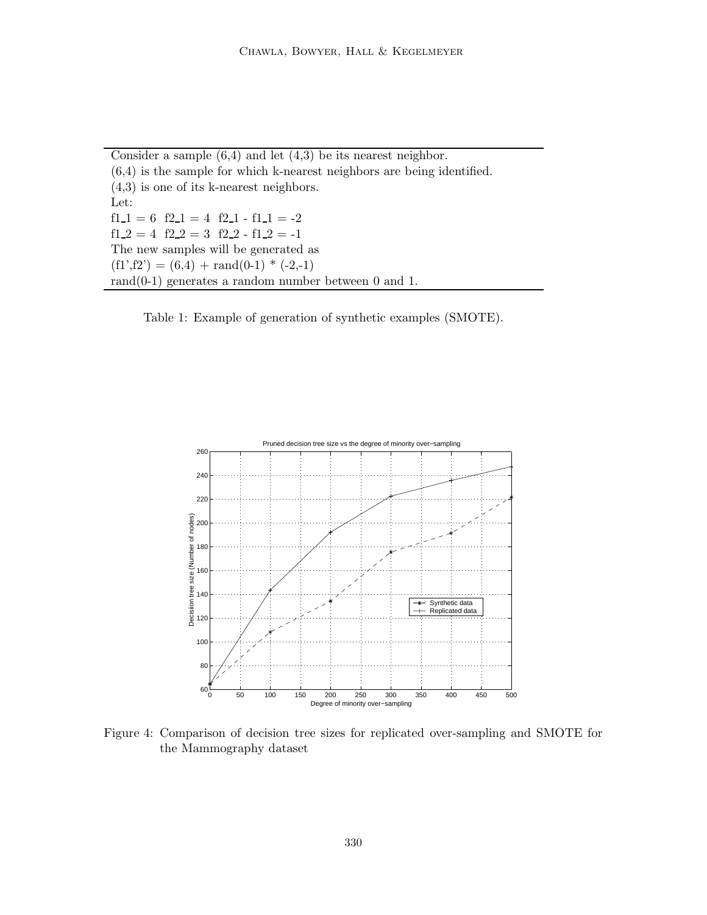Consider a sample  $(6,4)$  and let  $(4,3)$  be its nearest neighbor.  $(6,4)$  is the sample for which k-nearest neighbors are being identified.  $(4,3)$  is one of its k-nearest neighbors. Let:  $f1_1 = 6$   $f2_1 = 4$   $f2_1 - f1_1 = -2$  $f1_2 = 4$   $f2_2 = 3$   $f2_2 - f1_2 = -1$ The new samples will be generated as  $(f1', f2') = (6, 4) + \text{rand}(0-1) * (-2,-1)$ rand $(0-1)$  generates a random number between 0 and 1.

Table 1: Example of generation of synthetic examples (SMOTE).



Figure 4: Comparison of decision tree sizes for replicated over-sampling and SMOTE for the Mammography dataset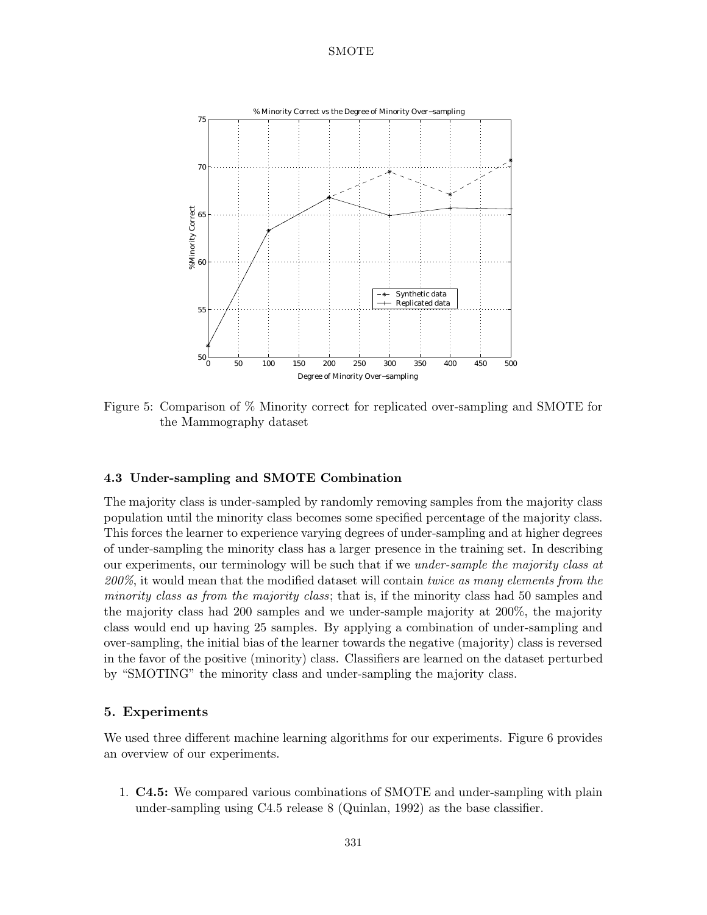

Figure 5: Comparison of % Minority correct for replicated over-sampling and SMOTE for the Mammography dataset

### **4.3 Under-sampling and SMOTE Combination**

The majority class is under-sampled by randomly removing samples from the majority class population until the minority class becomes some specified percentage of the majority class. This forces the learner to experience varying degrees of under-sampling and at higher degrees of under-sampling the minority class has a larger presence in the training set. In describing our experiments, our terminology will be such that if we *under-sample the majority class at 200%*, it would mean that the modified dataset will contain *twice as many elements from the minority class as from the majority class*; that is, if the minority class had 50 samples and the majority class had 200 samples and we under-sample majority at 200%, the majority class would end up having 25 samples. By applying a combination of under-sampling and over-sampling, the initial bias of the learner towards the negative (majority) class is reversed in the favor of the positive (minority) class. Classifiers are learned on the dataset perturbed by "SMOTING" the minority class and under-sampling the majority class.

## **5. Experiments**

We used three different machine learning algorithms for our experiments. Figure 6 provides an overview of our experiments.

1. **C4.5:** We compared various combinations of SMOTE and under-sampling with plain under-sampling using  $C4.5$  release 8 (Quinlan, 1992) as the base classifier.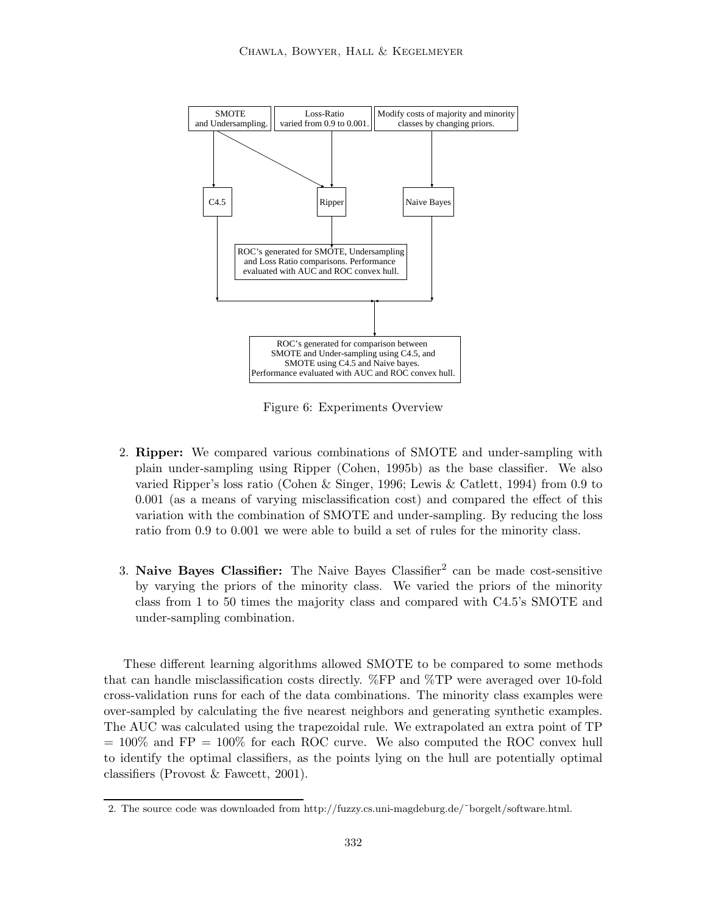

Figure 6: Experiments Overview

- 2. **Ripper:** We compared various combinations of SMOTE and under-sampling with plain under-sampling using Ripper (Cohen, 1995b) as the base classifier. We also varied Ripper's loss ratio (Cohen & Singer, 1996; Lewis & Catlett, 1994) from 0.9 to  $0.001$  (as a means of varying misclassification cost) and compared the effect of this variation with the combination of SMOTE and under-sampling. By reducing the loss ratio from 0.9 to 0.001 we were able to build a set of rules for the minority class.
- 3. **Naive Bayes Classifier:** The Naive Bayes Classifier<sup>2</sup> can be made cost-sensitive by varying the priors of the minority class. We varied the priors of the minority class from 1 to 50 times the majority class and compared with C4.5's SMOTE and under-sampling combination.

These different learning algorithms allowed SMOTE to be compared to some methods that can handle misclassification costs directly. %FP and %TP were averaged over 10-fold cross-validation runs for each of the data combinations. The minority class examples were over-sampled by calculating the five nearest neighbors and generating synthetic examples. The AUC was calculated using the trapezoidal rule. We extrapolated an extra point of TP  $= 100\%$  and FP  $= 100\%$  for each ROC curve. We also computed the ROC convex hull to identify the optimal classifiers, as the points lying on the hull are potentially optimal classifiers (Provost & Fawcett, 2001).

<sup>2.</sup> The source code was downloaded from http://fuzzy.cs.uni-magdeburg.de/˜borgelt/software.html.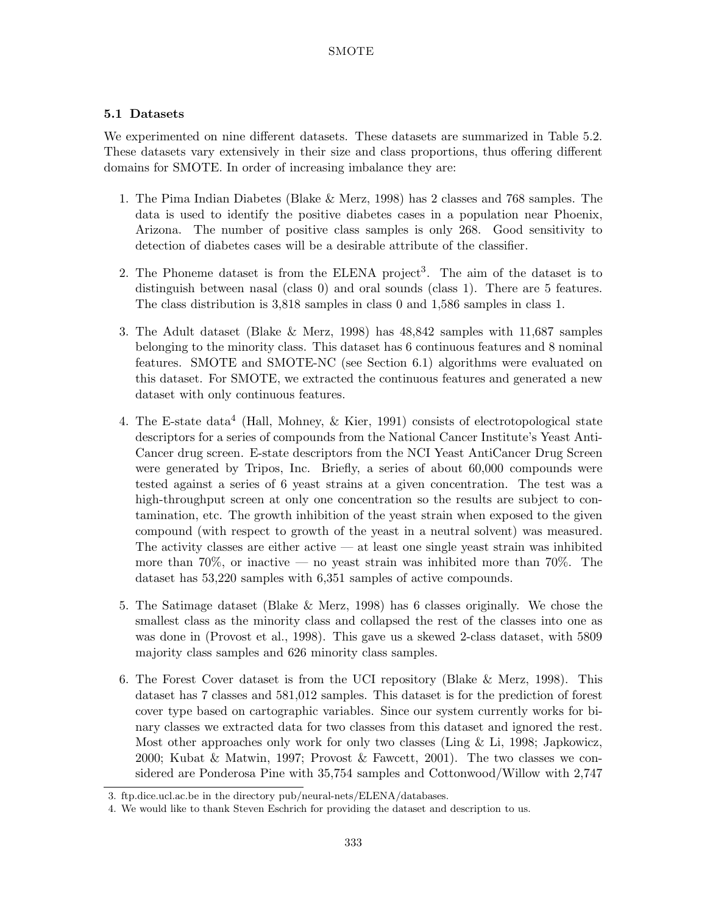## **5.1 Datasets**

We experimented on nine different datasets. These datasets are summarized in Table 5.2. These datasets vary extensively in their size and class proportions, thus offering different domains for SMOTE. In order of increasing imbalance they are:

- 1. The Pima Indian Diabetes (Blake  $\&$  Merz, 1998) has 2 classes and 768 samples. The data is used to identify the positive diabetes cases in a population near Phoenix, Arizona. The number of positive class samples is only 268. Good sensitivity to detection of diabetes cases will be a desirable attribute of the classifier.
- 2. The Phoneme dataset is from the ELENA project<sup>3</sup>. The aim of the dataset is to distinguish between nasal (class  $0$ ) and oral sounds (class 1). There are 5 features. The class distribution is 3,818 samples in class 0 and 1,586 samples in class 1.
- 3. The Adult dataset (Blake & Merz, 1998) has 48,842 samples with 11,687 samples belonging to the minority class. This dataset has 6 continuous features and 8 nominal features. SMOTE and SMOTE-NC (see Section 6.1) algorithms were evaluated on this dataset. For SMOTE, we extracted the continuous features and generated a new dataset with only continuous features.
- 4. The E-state data<sup>4</sup> (Hall, Mohney, & Kier, 1991) consists of electrotopological state descriptors for a series of compounds from the National Cancer Institute's Yeast Anti-Cancer drug screen. E-state descriptors from the NCI Yeast AntiCancer Drug Screen were generated by Tripos, Inc. Briefly, a series of about 60,000 compounds were tested against a series of 6 yeast strains at a given concentration. The test was a high-throughput screen at only one concentration so the results are subject to contamination, etc. The growth inhibition of the yeast strain when exposed to the given compound (with respect to growth of the yeast in a neutral solvent) was measured. The activity classes are either active — at least one single yeast strain was inhibited more than 70%, or inactive — no yeast strain was inhibited more than 70%. The dataset has 53,220 samples with 6,351 samples of active compounds.
- 5. The Satimage dataset (Blake  $\&$  Merz, 1998) has 6 classes originally. We chose the smallest class as the minority class and collapsed the rest of the classes into one as was done in (Provost et al., 1998). This gave us a skewed 2-class dataset, with 5809 majority class samples and 626 minority class samples.
- 6. The Forest Cover dataset is from the UCI repository (Blake & Merz, 1998). This dataset has 7 classes and 581,012 samples. This dataset is for the prediction of forest cover type based on cartographic variables. Since our system currently works for binary classes we extracted data for two classes from this dataset and ignored the rest. Most other approaches only work for only two classes (Ling & Li, 1998; Japkowicz, 2000; Kubat & Matwin, 1997; Provost & Fawcett, 2001). The two classes we considered are Ponderosa Pine with 35,754 samples and Cottonwood/Willow with 2,747

<sup>3.</sup> ftp.dice.ucl.ac.be in the directory pub/neural-nets/ELENA/databases.

<sup>4.</sup> We would like to thank Steven Eschrich for providing the dataset and description to us.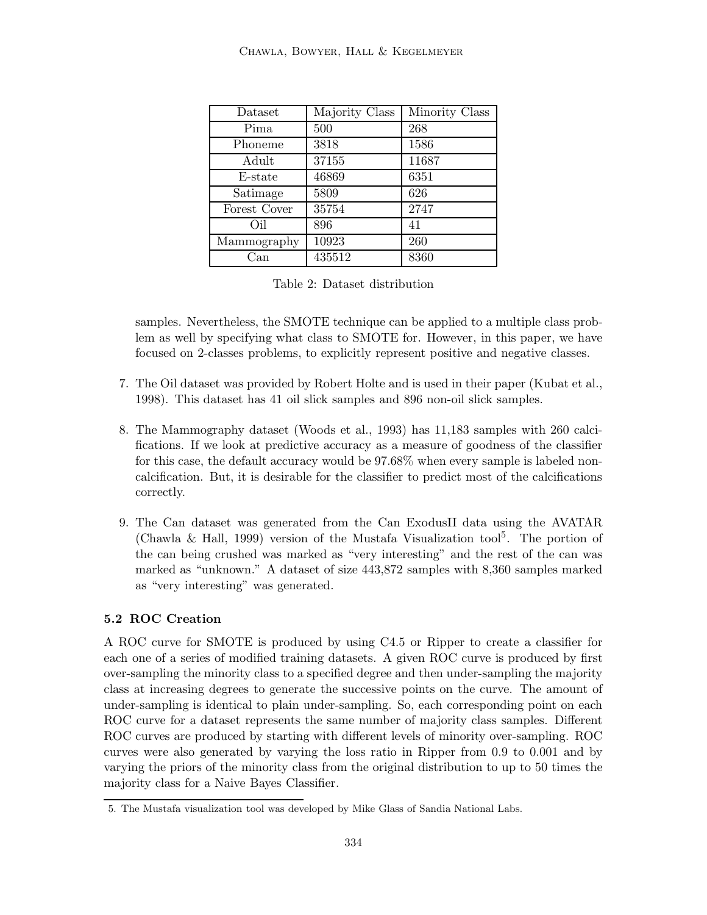| Dataset      | Majority Class | Minority Class |
|--------------|----------------|----------------|
| Pima         | 500            | 268            |
| Phoneme      | 3818           | 1586           |
| Adult        | 37155          | 11687          |
| E-state      | 46869          | 6351           |
| Satimage     | 5809           | 626            |
| Forest Cover | 35754          | 2747           |
| Oil          | 896            | 41             |
| Mammography  | 10923          | 260            |
| Uan          | 435512         | 8360           |

Table 2: Dataset distribution

samples. Nevertheless, the SMOTE technique can be applied to a multiple class problem as well by specifying what class to SMOTE for. However, in this paper, we have focused on 2-classes problems, to explicitly represent positive and negative classes.

- 7. The Oil dataset was provided by Robert Holte and is used in their paper (Kubat et al., 1998). This dataset has 41 oil slick samples and 896 non-oil slick samples.
- 8. The Mammography dataset (Woods et al., 1993) has 11,183 samples with 260 calcifications. If we look at predictive accuracy as a measure of goodness of the classifier for this case, the default accuracy would be 97.68% when every sample is labeled noncalcification. But, it is desirable for the classifier to predict most of the calcifications correctly.
- 9. The Can dataset was generated from the Can ExodusII data using the AVATAR (Chawla & Hall, 1999) version of the Mustafa Visualization tool<sup>5</sup>. The portion of the can being crushed was marked as "very interesting" and the rest of the can was marked as "unknown." A dataset of size 443,872 samples with 8,360 samples marked as "very interesting" was generated.

## **5.2 ROC Creation**

A ROC curve for SMOTE is produced by using C4.5 or Ripper to create a classifier for each one of a series of modified training datasets. A given ROC curve is produced by first over-sampling the minority class to a specified degree and then under-sampling the majority class at increasing degrees to generate the successive points on the curve. The amount of under-sampling is identical to plain under-sampling. So, each corresponding point on each ROC curve for a dataset represents the same number of majority class samples. Different ROC curves are produced by starting with different levels of minority over-sampling. ROC curves were also generated by varying the loss ratio in Ripper from 0.9 to 0.001 and by varying the priors of the minority class from the original distribution to up to 50 times the majority class for a Naive Bayes Classifier.

<sup>5.</sup> The Mustafa visualization tool was developed by Mike Glass of Sandia National Labs.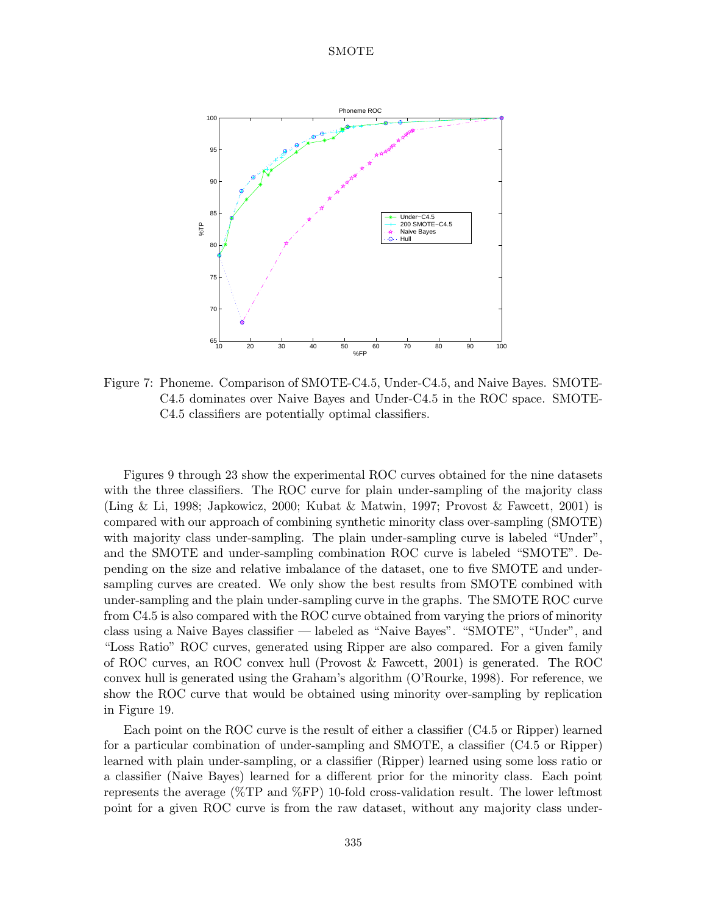

Figure 7: Phoneme. Comparison of SMOTE-C4.5, Under-C4.5, and Naive Bayes. SMOTE-C4.5 dominates over Naive Bayes and Under-C4.5 in the ROC space. SMOTE-C4.5 classifiers are potentially optimal classifiers.

Figures 9 through 23 show the experimental ROC curves obtained for the nine datasets with the three classifiers. The ROC curve for plain under-sampling of the majority class (Ling & Li, 1998; Japkowicz, 2000; Kubat & Matwin, 1997; Provost & Fawcett, 2001) is compared with our approach of combining synthetic minority class over-sampling (SMOTE) with majority class under-sampling. The plain under-sampling curve is labeled "Under", and the SMOTE and under-sampling combination ROC curve is labeled "SMOTE". Depending on the size and relative imbalance of the dataset, one to five SMOTE and undersampling curves are created. We only show the best results from SMOTE combined with under-sampling and the plain under-sampling curve in the graphs. The SMOTE ROC curve from C4.5 is also compared with the ROC curve obtained from varying the priors of minority class using a Naive Bayes classifier — labeled as "Naive Bayes". "SMOTE", "Under", and "Loss Ratio" ROC curves, generated using Ripper are also compared. For a given family of ROC curves, an ROC convex hull (Provost  $\&$  Fawcett, 2001) is generated. The ROC convex hull is generated using the Graham's algorithm (O'Rourke, 1998). For reference, we show the ROC curve that would be obtained using minority over-sampling by replication in Figure 19.

Each point on the ROC curve is the result of either a classifier (C4.5 or Ripper)learned for a particular combination of under-sampling and SMOTE, a classifier (C4.5 or Ripper) learned with plain under-sampling, or a classifier (Ripper) learned using some loss ratio or a classifier (Naive Bayes) learned for a different prior for the minority class. Each point represents the average ( $\%\text{TP}$  and  $\%\text{FP}$ ) 10-fold cross-validation result. The lower leftmost point for a given ROC curve is from the raw dataset, without any majority class under-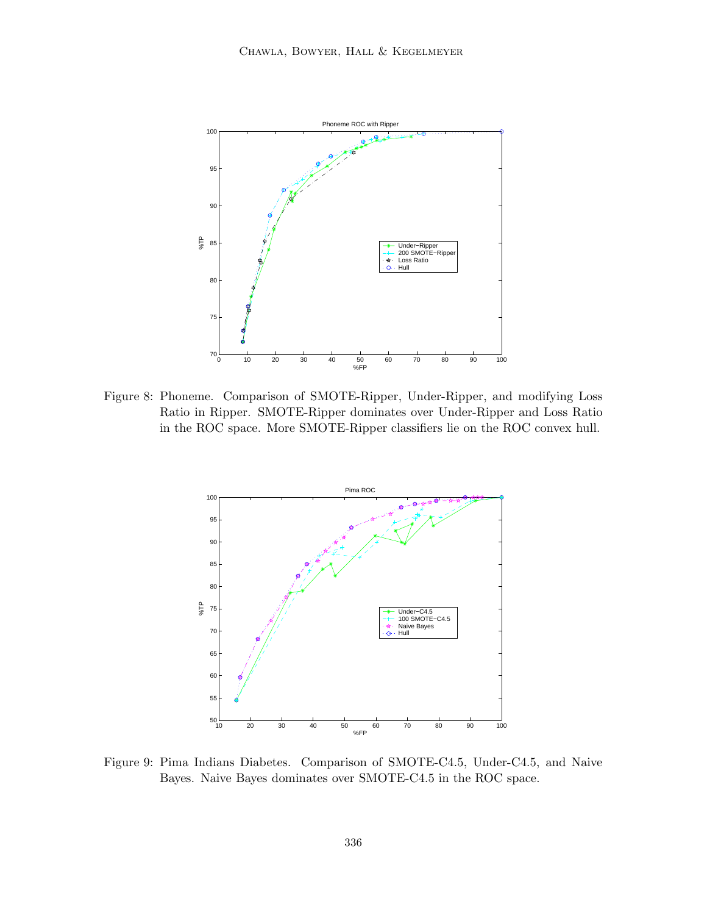

Figure 8: Phoneme. Comparison of SMOTE-Ripper, Under-Ripper, and modifying Loss Ratio in Ripper. SMOTE-Ripper dominates over Under-Ripper and Loss Ratio in the ROC space. More SMOTE-Ripper classifiers lie on the ROC convex hull.



Figure 9: Pima Indians Diabetes. Comparison of SMOTE-C4.5, Under-C4.5, and Naive Bayes. Naive Bayes dominates over SMOTE-C4.5 in the ROC space.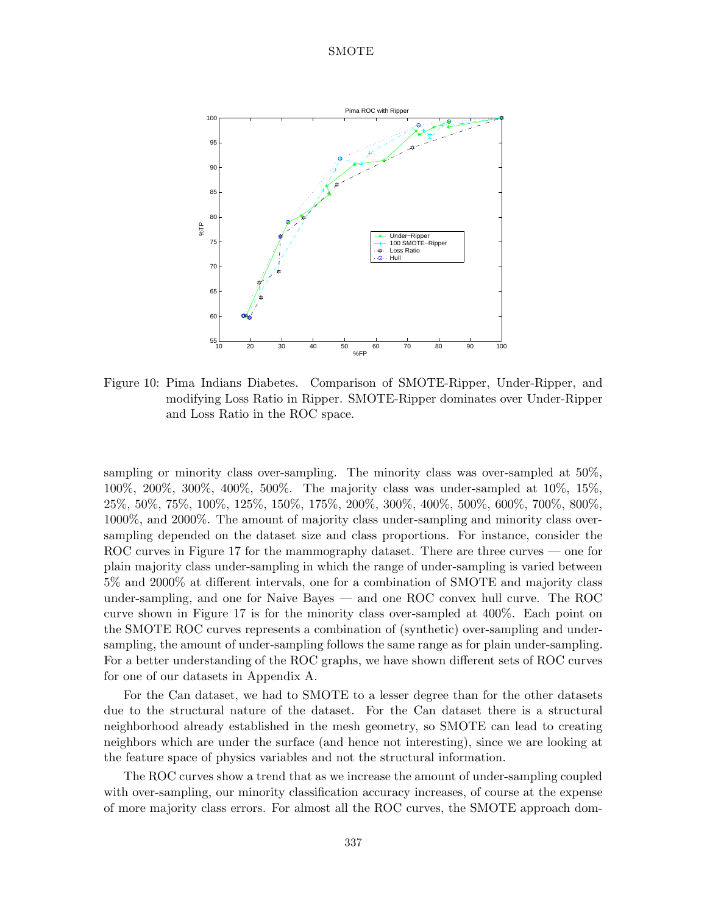

Figure 10: Pima Indians Diabetes. Comparison of SMOTE-Ripper, Under-Ripper, and modifying Loss Ratio in Ripper. SMOTE-Ripper dominates over Under-Ripper and Loss Ratio in the ROC space.

sampling or minority class over-sampling. The minority class was over-sampled at 50%, 100%, 200%, 300%, 400%, 500%. The majority class was under-sampled at 10%, 15%, 25%, 50%, 75%, 100%, 125%, 150%, 175%, 200%, 300%, 400%, 500%, 600%, 700%, 800%, 1000%, and 2000%. The amount of majority class under-sampling and minority class oversampling depended on the dataset size and class proportions. For instance, consider the ROC curves in Figure 17 for the mammography dataset. There are three curves — one for plain majority class under-sampling in which the range of under-sampling is varied between 5% and 2000% at different intervals, one for a combination of SMOTE and majority class under-sampling, and one for Naive Bayes — and one ROC convex hull curve. The ROC curve shown in Figure 17 is for the minority class over-sampled at 400%. Each point on the SMOTE ROC curves represents a combination of (synthetic) over-sampling and undersampling, the amount of under-sampling follows the same range as for plain under-sampling. For a better understanding of the ROC graphs, we have shown different sets of ROC curves for one of our datasets in Appendix A.

For the Can dataset, we had to SMOTE to a lesser degree than for the other datasets due to the structural nature of the dataset. For the Can dataset there is a structural neighborhood already established in the mesh geometry, so SMOTE can lead to creating neighbors which are under the surface (and hence not interesting), since we are looking at the feature space of physics variables and not the structural information.

The ROC curves show a trend that as we increase the amount of under-sampling coupled with over-sampling, our minority classification accuracy increases, of course at the expense of more majority class errors. For almost all the ROC curves, the SMOTE approach dom-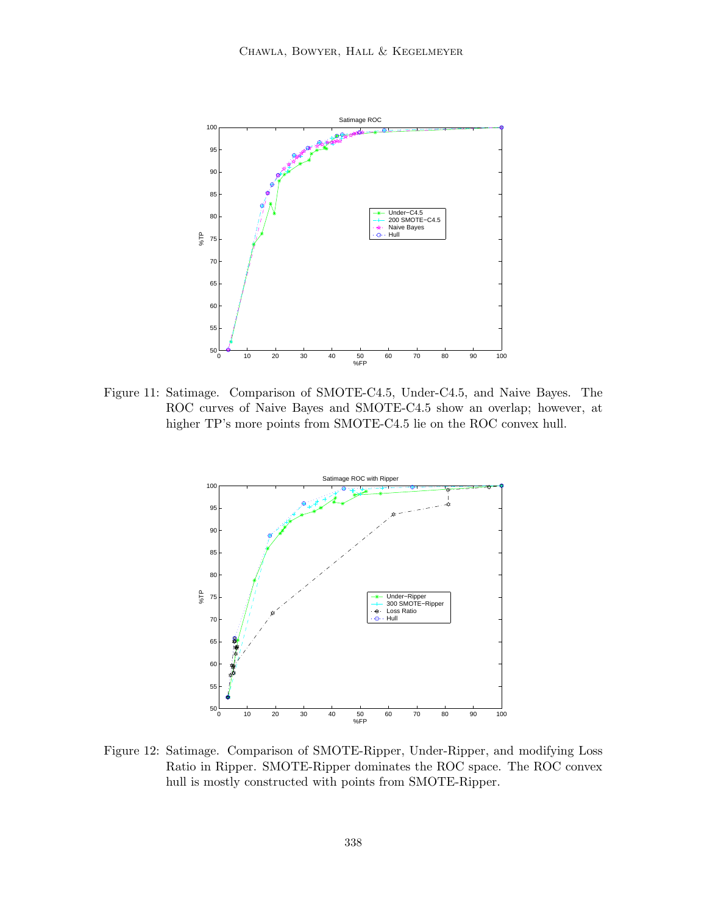

Figure 11: Satimage. Comparison of SMOTE-C4.5, Under-C4.5, and Naive Bayes. The ROC curves of Naive Bayes and SMOTE-C4.5 show an overlap; however, at higher TP's more points from SMOTE-C4.5 lie on the ROC convex hull.



Figure 12: Satimage. Comparison of SMOTE-Ripper, Under-Ripper, and modifying Loss Ratio in Ripper. SMOTE-Ripper dominates the ROC space. The ROC convex hull is mostly constructed with points from SMOTE-Ripper.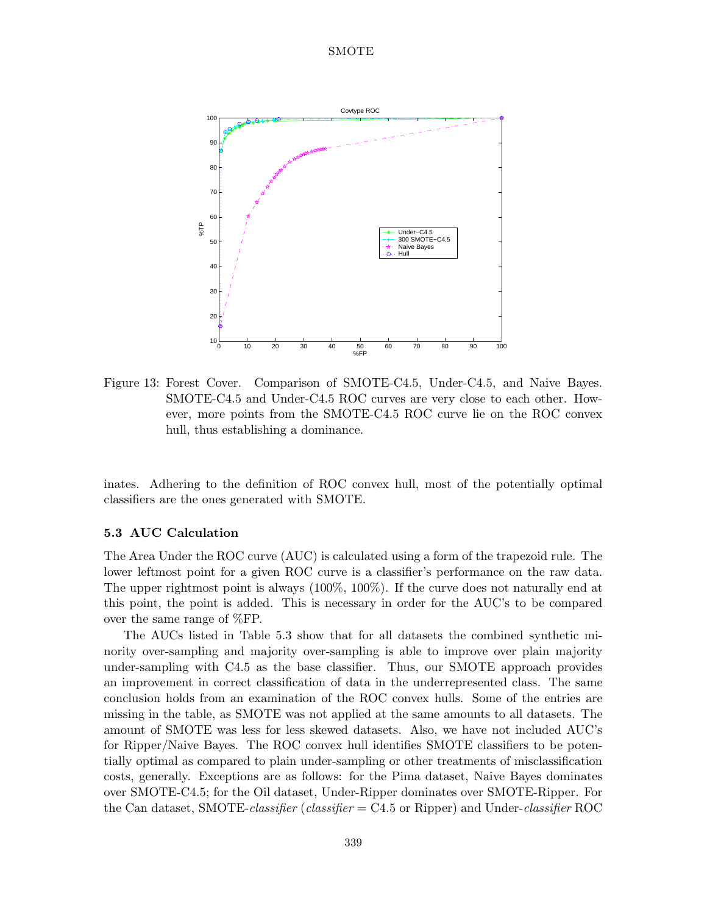

Figure 13: Forest Cover. Comparison of SMOTE-C4.5, Under-C4.5, and Naive Bayes. SMOTE-C4.5 and Under-C4.5 ROC curves are very close to each other. However, more points from the SMOTE-C4.5 ROC curve lie on the ROC convex hull, thus establishing a dominance.

inates. Adhering to the definition of ROC convex hull, most of the potentially optimal classifiers are the ones generated with SMOTE.

#### **5.3 AUC Calculation**

The Area Under the ROC curve (AUC) is calculated using a form of the trapezoid rule. The lower leftmost point for a given ROC curve is a classifier's performance on the raw data. The upper rightmost point is always (100%, 100%). If the curve does not naturally end at this point, the point is added. This is necessary in order for the AUC's to be compared over the same range of %FP.

The AUCs listed in Table 5.3 show that for all datasets the combined synthetic minority over-sampling and majority over-sampling is able to improve over plain majority under-sampling with C4.5 as the base classifier. Thus, our SMOTE approach provides an improvement in correct classification of data in the underrepresented class. The same conclusion holds from an examination of the ROC convex hulls. Some of the entries are missing in the table, as SMOTE was not applied at the same amounts to all datasets. The amount of SMOTE was less for less skewed datasets. Also, we have not included AUC's for Ripper/Naive Bayes. The ROC convex hull identifies SMOTE classifiers to be potentially optimal as compared to plain under-sampling or other treatments of misclassification costs, generally. Exceptions are as follows: for the Pima dataset, Naive Bayes dominates over SMOTE-C4.5; for the Oil dataset, Under-Ripper dominates over SMOTE-Ripper. For the Can dataset, SMOTE-*classifier* (*classifier* = C4.5 or Ripper)and Under-*classifier* ROC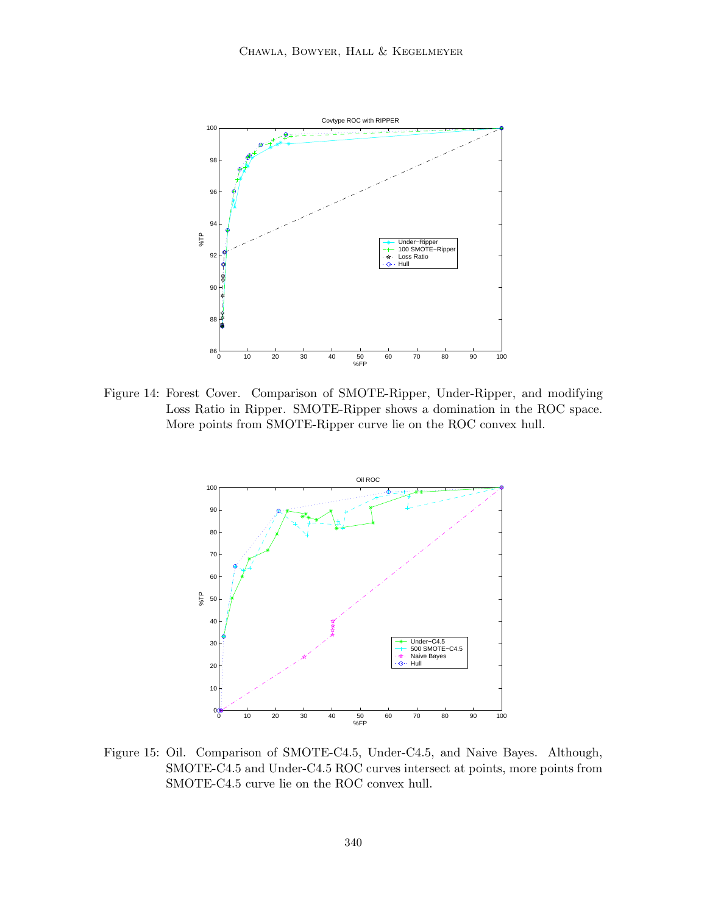

Figure 14: Forest Cover. Comparison of SMOTE-Ripper, Under-Ripper, and modifying Loss Ratio in Ripper. SMOTE-Ripper shows a domination in the ROC space. More points from SMOTE-Ripper curve lie on the ROC convex hull.



Figure 15: Oil. Comparison of SMOTE-C4.5, Under-C4.5, and Naive Bayes. Although, SMOTE-C4.5 and Under-C4.5 ROC curves intersect at points, more points from SMOTE-C4.5 curve lie on the ROC convex hull.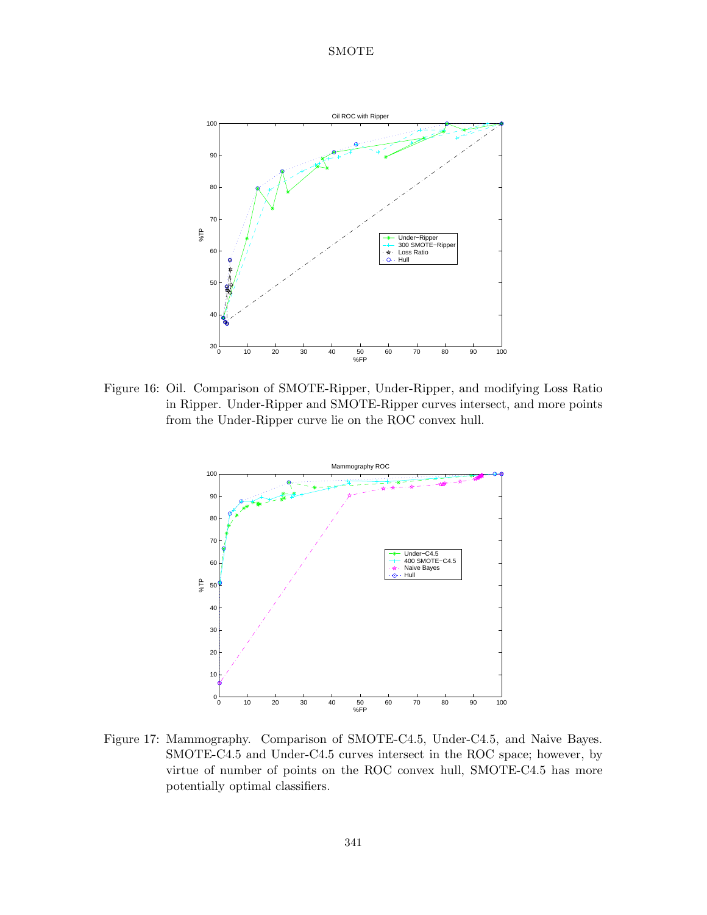

Figure 16: Oil. Comparison of SMOTE-Ripper, Under-Ripper, and modifying Loss Ratio in Ripper. Under-Ripper and SMOTE-Ripper curves intersect, and more points from the Under-Ripper curve lie on the ROC convex hull.



Figure 17: Mammography. Comparison of SMOTE-C4.5, Under-C4.5, and Naive Bayes. SMOTE-C4.5 and Under-C4.5 curves intersect in the ROC space; however, by virtue of number of points on the ROC convex hull, SMOTE-C4.5 has more potentially optimal classifiers.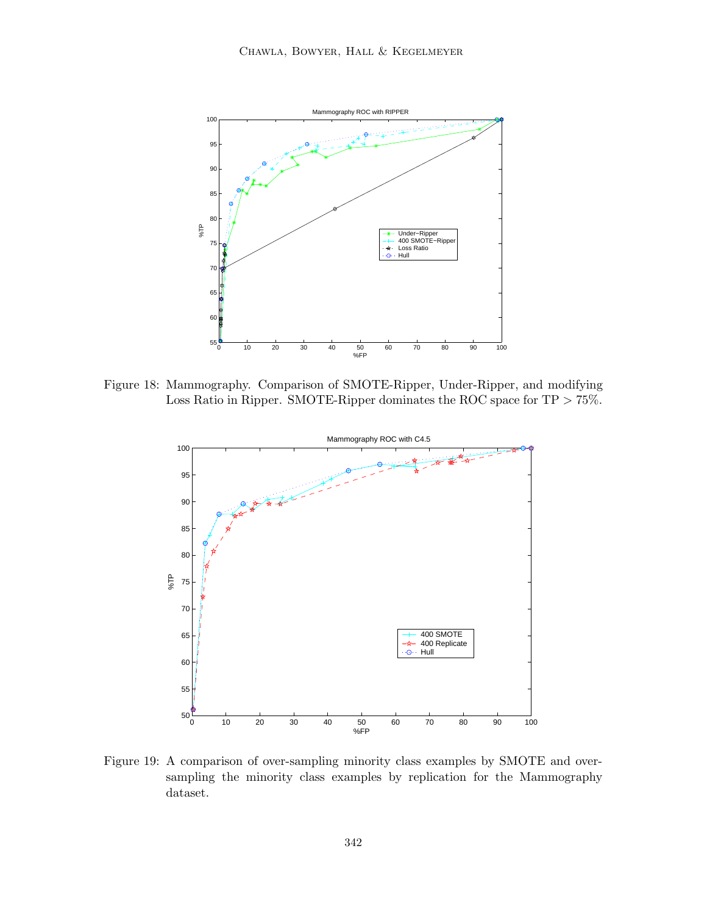

Figure 18: Mammography. Comparison of SMOTE-Ripper, Under-Ripper, and modifying Loss Ratio in Ripper. SMOTE-Ripper dominates the ROC space for TP  $> 75\%$ .



Figure 19: A comparison of over-sampling minority class examples by SMOTE and oversampling the minority class examples by replication for the Mammography dataset.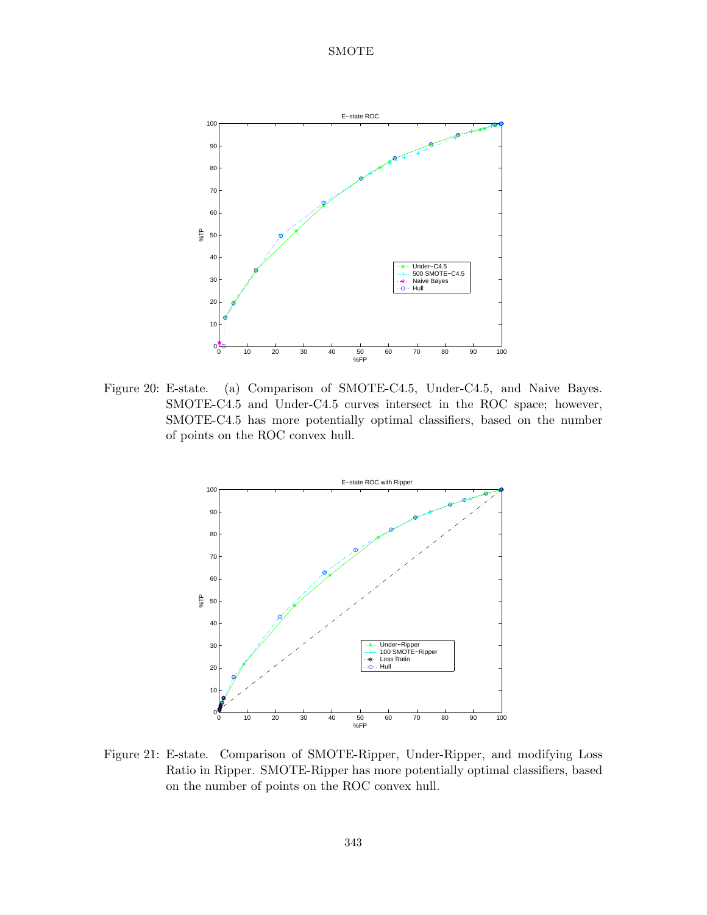

Figure 20: E-state. (a) Comparison of SMOTE-C4.5, Under-C4.5, and Naive Bayes. SMOTE-C4.5 and Under-C4.5 curves intersect in the ROC space; however, SMOTE-C4.5 has more potentially optimal classifiers, based on the number of points on the ROC convex hull.



Figure 21: E-state. Comparison of SMOTE-Ripper, Under-Ripper, and modifying Loss Ratio in Ripper. SMOTE-Ripper has more potentially optimal classifiers, based on the number of points on the ROC convex hull.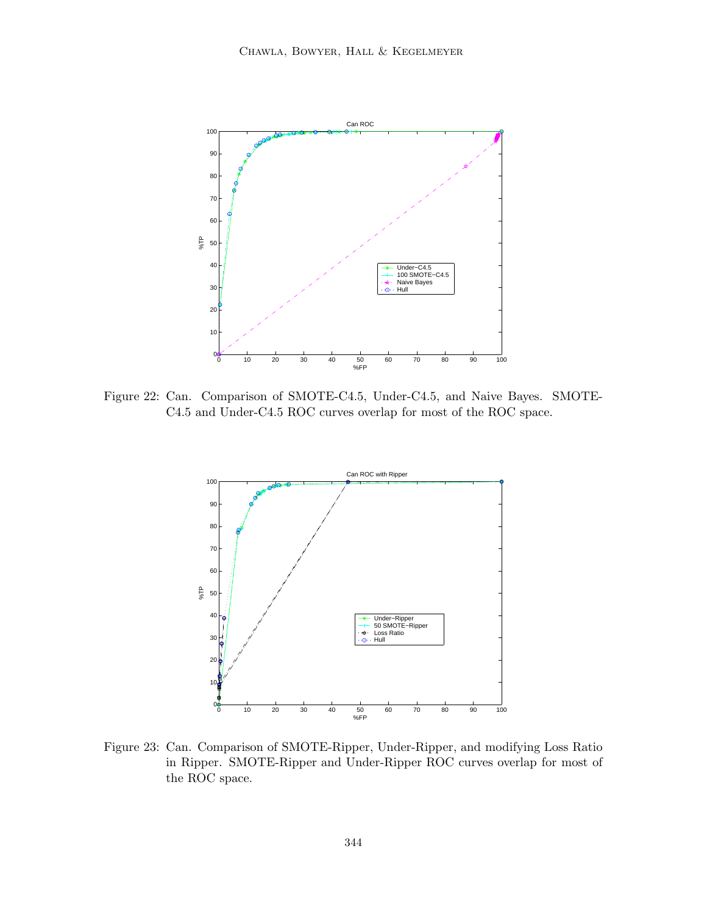

Figure 22: Can. Comparison of SMOTE-C4.5, Under-C4.5, and Naive Bayes. SMOTE-C4.5 and Under-C4.5 ROC curves overlap for most of the ROC space.



Figure 23: Can. Comparison of SMOTE-Ripper, Under-Ripper, and modifying Loss Ratio in Ripper. SMOTE-Ripper and Under-Ripper ROC curves overlap for most of the ROC space.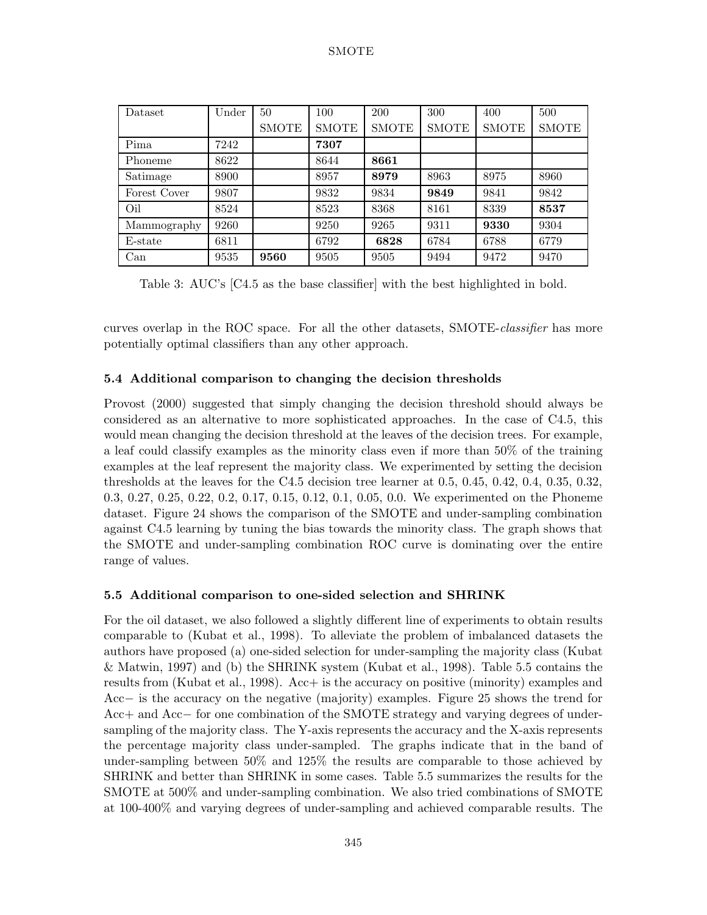| Dataset      | Under | 50           | 100          | 200          | 300          | 400          | 500          |
|--------------|-------|--------------|--------------|--------------|--------------|--------------|--------------|
|              |       | <b>SMOTE</b> | <b>SMOTE</b> | <b>SMOTE</b> | <b>SMOTE</b> | <b>SMOTE</b> | <b>SMOTE</b> |
| Pima         | 7242  |              | 7307         |              |              |              |              |
| Phoneme      | 8622  |              | 8644         | 8661         |              |              |              |
| Satimage     | 8900  |              | 8957         | 8979         | 8963         | 8975         | 8960         |
| Forest Cover | 9807  |              | 9832         | 9834         | 9849         | 9841         | 9842         |
| Oil          | 8524  |              | 8523         | 8368         | 8161         | 8339         | 8537         |
| Mammography  | 9260  |              | 9250         | 9265         | 9311         | 9330         | 9304         |
| E-state      | 6811  |              | 6792         | 6828         | 6784         | 6788         | 6779         |
| Can          | 9535  | 9560         | 9505         | 9505         | 9494         | 9472         | 9470         |

Table 3: AUC's [C4.5 as the base classifier] with the best highlighted in bold.

curves overlap in the ROC space. For all the other datasets, SMOTE-*classifier* has more potentially optimal classifiers than any other approach.

## **5.4 Additional comparison to changing the decision thresholds**

Provost (2000) suggested that simply changing the decision threshold should always be considered as an alternative to more sophisticated approaches. In the case of C4.5, this would mean changing the decision threshold at the leaves of the decision trees. For example, a leaf could classify examples as the minority class even if more than 50% of the training examples at the leaf represent the majority class. We experimented by setting the decision thresholds at the leaves for the C4.5 decision tree learner at 0.5, 0.45, 0.42, 0.4, 0.35, 0.32, 0.3, 0.27, 0.25, 0.22, 0.2, 0.17, 0.15, 0.12, 0.1, 0.05, 0.0. We experimented on the Phoneme dataset. Figure 24 shows the comparison of the SMOTE and under-sampling combination against C4.5 learning by tuning the bias towards the minority class. The graph shows that the SMOTE and under-sampling combination ROC curve is dominating over the entire range of values.

## **5.5 Additional comparison to one-sided selection and SHRINK**

For the oil dataset, we also followed a slightly different line of experiments to obtain results comparable to (Kubat et al., 1998). To alleviate the problem of imbalanced datasets the authors have proposed (a) one-sided selection for under-sampling the majority class (Kubat & Matwin, 1997) and (b) the SHRINK system (Kubat et al., 1998). Table 5.5 contains the results from (Kubat et al., 1998). Acc+ is the accuracy on positive (minority) examples and Acc− is the accuracy on the negative (majority)examples. Figure 25 shows the trend for Acc+ and Acc− for one combination of the SMOTE strategy and varying degrees of undersampling of the majority class. The Y-axis represents the accuracy and the X-axis represents the percentage majority class under-sampled. The graphs indicate that in the band of under-sampling between 50% and 125% the results are comparable to those achieved by SHRINK and better than SHRINK in some cases. Table 5.5 summarizes the results for the SMOTE at 500% and under-sampling combination. We also tried combinations of SMOTE at 100-400% and varying degrees of under-sampling and achieved comparable results. The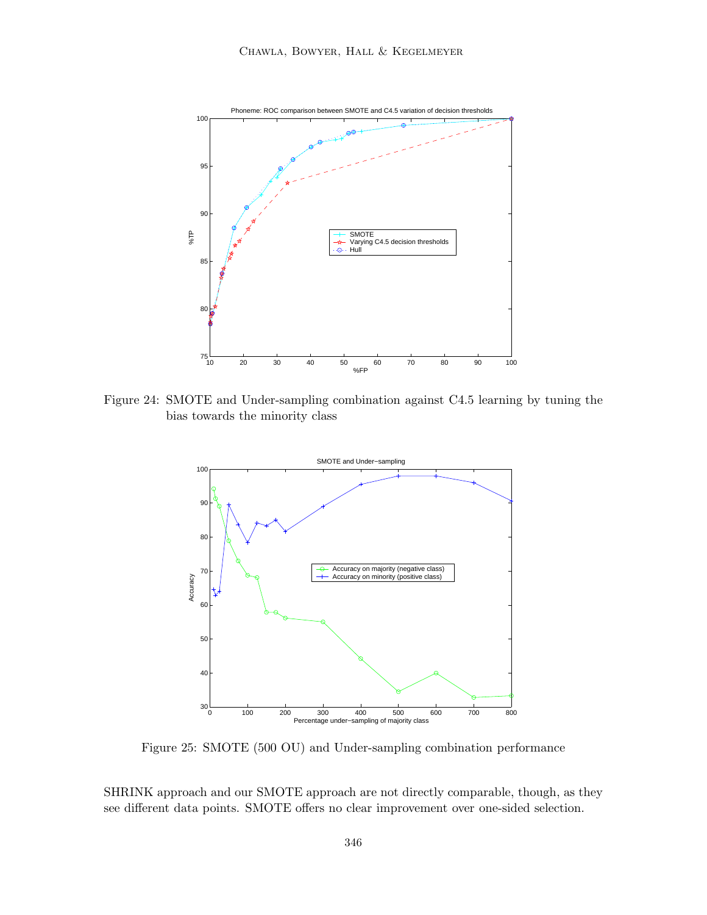

Figure 24: SMOTE and Under-sampling combination against C4.5 learning by tuning the bias towards the minority class



Figure 25: SMOTE (500 OU) and Under-sampling combination performance

SHRINK approach and our SMOTE approach are not directly comparable, though, as they see different data points. SMOTE offers no clear improvement over one-sided selection.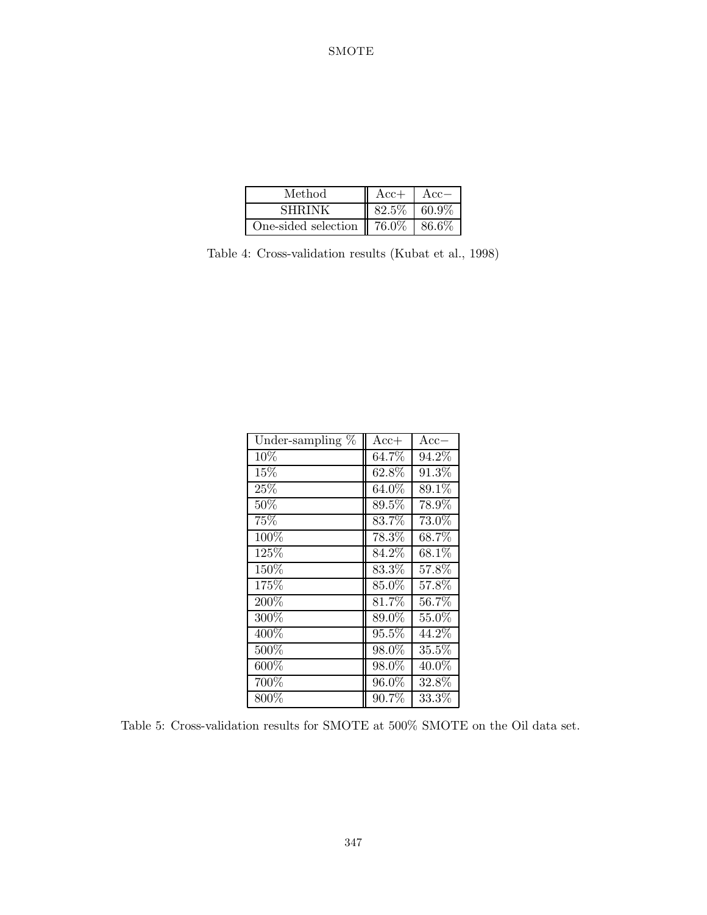| Method                                | $Acc+$ | $Acc-$   |
|---------------------------------------|--------|----------|
| <b>SHRINK</b>                         | 82.5%  | $60.9\%$ |
| One-sided selection $\parallel$ 76.0% |        | 86.6%    |

Table 4: Cross-validation results (Kubat et al., 1998)

| Under-sampling $%$ | $Acc+$   | $Acc-$   |
|--------------------|----------|----------|
| 10%                | 64.7%    | 94.2%    |
| 15%                | 62.8%    | 91.3%    |
| 25%                | $64.0\%$ | 89.1%    |
| $50\%$             | $89.5\%$ | 78.9%    |
| 75%                | $83.7\%$ | 73.0%    |
| 100%               | 78.3%    | 68.7%    |
| $125\%$            | $84.2\%$ | 68.1%    |
| 150%               | $83.3\%$ | 57.8%    |
| 175%               | 85.0%    | 57.8%    |
| 200%               | 81.7%    | 56.7%    |
| 300%               | 89.0%    | 55.0%    |
| 400\%              | 95.5%    | 44.2%    |
| 500%               | 98.0%    | 35.5%    |
| 600%               | 98.0%    | 40.0%    |
| 700%               | 96.0%    | 32.8%    |
| 800%               | $90.7\%$ | $33.3\%$ |

Table 5: Cross-validation results for SMOTE at 500% SMOTE on the Oil data set.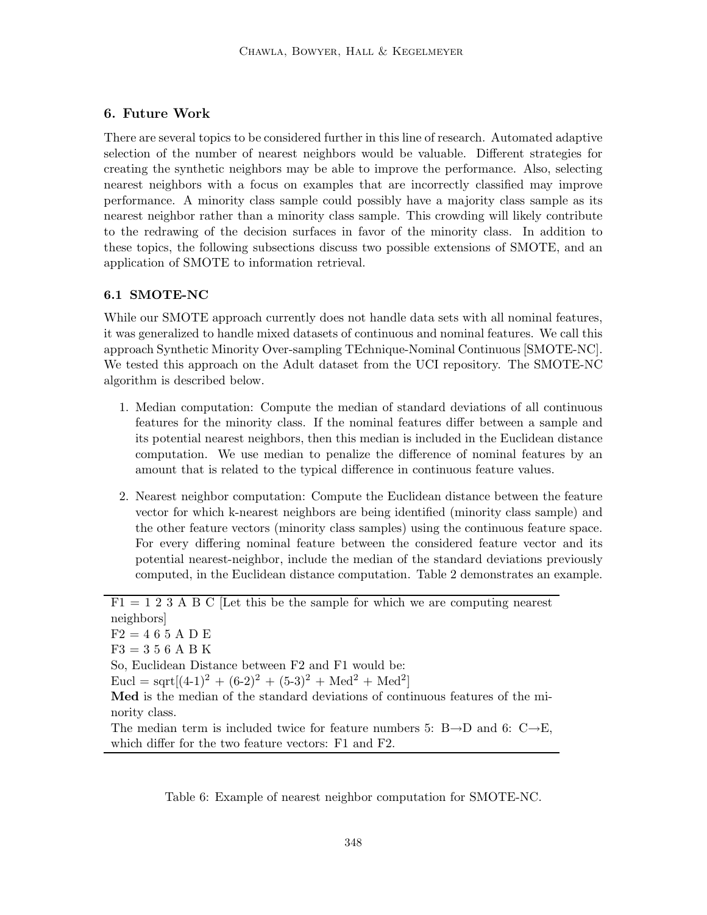# **6. Future Work**

There are several topics to be considered further in this line of research. Automated adaptive selection of the number of nearest neighbors would be valuable. Different strategies for creating the synthetic neighbors may be able to improve the performance. Also, selecting nearest neighbors with a focus on examples that are incorrectly classified may improve performance. A minority class sample could possibly have a majority class sample as its nearest neighbor rather than a minority class sample. This crowding will likely contribute to the redrawing of the decision surfaces in favor of the minority class. In addition to these topics, the following subsections discuss two possible extensions of SMOTE, and an application of SMOTE to information retrieval.

# **6.1 SMOTE-NC**

While our SMOTE approach currently does not handle data sets with all nominal features, it was generalized to handle mixed datasets of continuous and nominal features. We call this approach Synthetic Minority Over-sampling TEchnique-Nominal Continuous [SMOTE-NC]. We tested this approach on the Adult dataset from the UCI repository. The SMOTE-NC algorithm is described below.

- 1. Median computation: Compute the median of standard deviations of all continuous features for the minority class. If the nominal features differ between a sample and its potential nearest neighbors, then this median is included in the Euclidean distance computation. We use median to penalize the difference of nominal features by an amount that is related to the typical difference in continuous feature values.
- 2. Nearest neighbor computation: Compute the Euclidean distance between the feature vector for which k-nearest neighbors are being identified (minority class sample) and the other feature vectors (minority class samples) using the continuous feature space. For every differing nominal feature between the considered feature vector and its potential nearest-neighbor, include the median of the standard deviations previously computed, in the Euclidean distance computation. Table 2 demonstrates an example.

 $F1 = 1 2 \overline{3 A B C}$  [Let this be the sample for which we are computing nearest neighbors]  $F2 = 465 A D E$  $F3 = 356A B K$ So, Euclidean Distance between F2 and F1 would be:  $Eucl = sqrt[(4-1)^2 + (6-2)^2 + (5-3)^2 + Med^2 + Med^2]$ **Med** is the median of the standard deviations of continuous features of the minority class. The median term is included twice for feature numbers 5:  $B\rightarrow D$  and 6:  $C\rightarrow E$ , which differ for the two feature vectors: F1 and F2.

Table 6: Example of nearest neighbor computation for SMOTE-NC.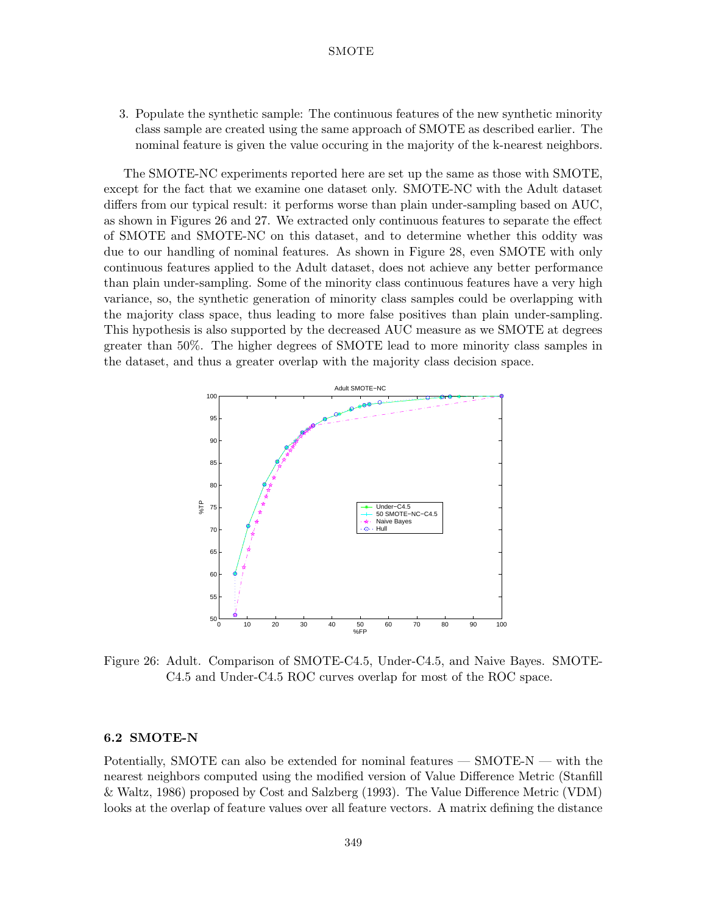3. Populate the synthetic sample: The continuous features of the new synthetic minority class sample are created using the same approach of SMOTE as described earlier. The nominal feature is given the value occuring in the majority of the k-nearest neighbors.

The SMOTE-NC experiments reported here are set up the same as those with SMOTE, except for the fact that we examine one dataset only. SMOTE-NC with the Adult dataset differs from our typical result: it performs worse than plain under-sampling based on AUC, as shown in Figures 26 and 27. We extracted only continuous features to separate the effect of SMOTE and SMOTE-NC on this dataset, and to determine whether this oddity was due to our handling of nominal features. As shown in Figure 28, even SMOTE with only continuous features applied to the Adult dataset, does not achieve any better performance than plain under-sampling. Some of the minority class continuous features have a very high variance, so, the synthetic generation of minority class samples could be overlapping with the majority class space, thus leading to more false positives than plain under-sampling. This hypothesis is also supported by the decreased AUC measure as we SMOTE at degrees greater than 50%. The higher degrees of SMOTE lead to more minority class samples in the dataset, and thus a greater overlap with the majority class decision space.



Figure 26: Adult. Comparison of SMOTE-C4.5, Under-C4.5, and Naive Bayes. SMOTE-C4.5 and Under-C4.5 ROC curves overlap for most of the ROC space.

#### **6.2 SMOTE-N**

Potentially, SMOTE can also be extended for nominal features — SMOTE-N — with the nearest neighbors computed using the modified version of Value Difference Metric (Stanfill  $\&$  Waltz, 1986) proposed by Cost and Salzberg (1993). The Value Difference Metric (VDM) looks at the overlap of feature values over all feature vectors. A matrix defining the distance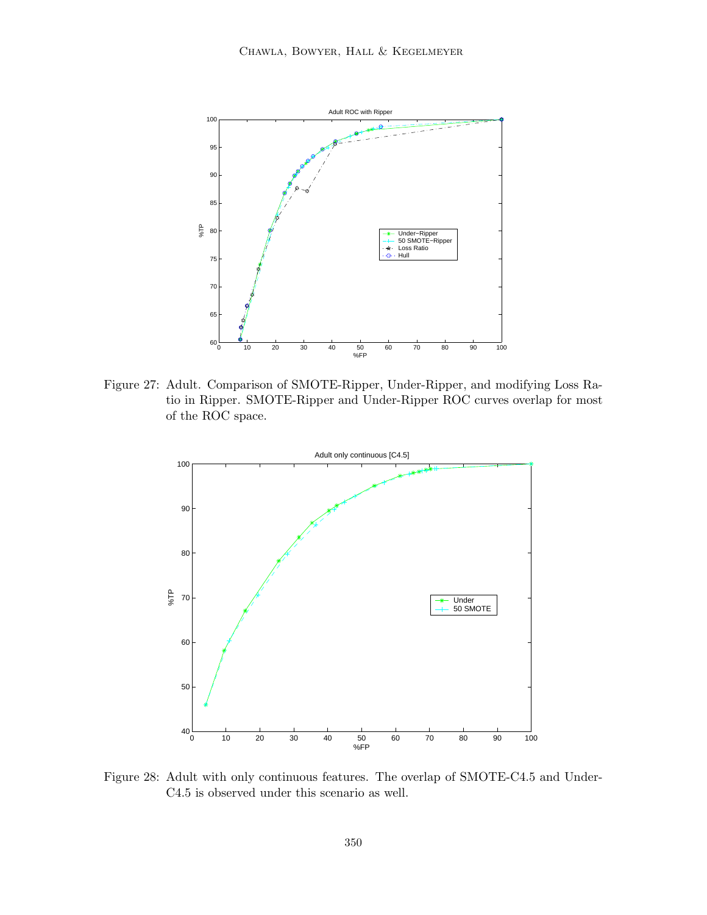

Figure 27: Adult. Comparison of SMOTE-Ripper, Under-Ripper, and modifying Loss Ratio in Ripper. SMOTE-Ripper and Under-Ripper ROC curves overlap for most of the ROC space.



Figure 28: Adult with only continuous features. The overlap of SMOTE-C4.5 and Under-C4.5 is observed under this scenario as well.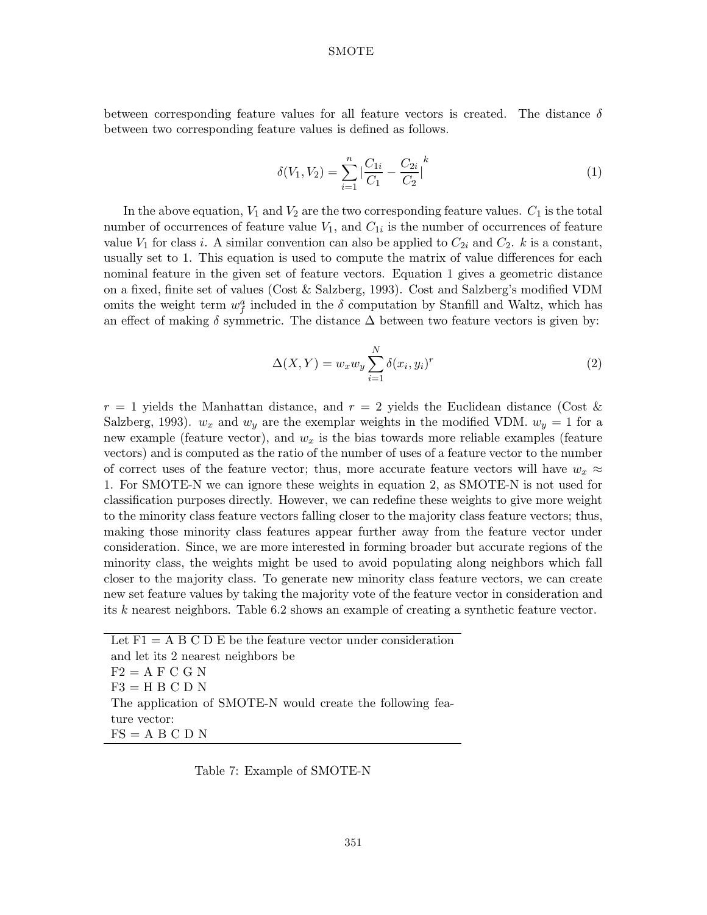between corresponding feature values for all feature vectors is created. The distance  $\delta$ between two corresponding feature values is defined as follows.

$$
\delta(V_1, V_2) = \sum_{i=1}^n \left| \frac{C_{1i}}{C_1} - \frac{C_{2i}}{C_2} \right|^k \tag{1}
$$

In the above equation,  $V_1$  and  $V_2$  are the two corresponding feature values.  $C_1$  is the total number of occurrences of feature value  $V_1$ , and  $C_{1i}$  is the number of occurrences of feature value  $V_1$  for class i. A similar convention can also be applied to  $C_{2i}$  and  $C_2$ . k is a constant, usually set to 1. This equation is used to compute the matrix of value differences for each nominal feature in the given set of feature vectors. Equation 1 gives a geometric distance on a fixed, finite set of values (Cost & Salzberg, 1993). Cost and Salzberg's modified VDM omits the weight term  $w_f^a$  included in the  $\delta$  computation by Stanfill and Waltz, which has an effect of making  $\delta$  symmetric. The distance  $\Delta$  between two feature vectors is given by:

$$
\Delta(X,Y) = w_x w_y \sum_{i=1}^{N} \delta(x_i, y_i)^r
$$
\n(2)

 $r = 1$  yields the Manhattan distance, and  $r = 2$  yields the Euclidean distance (Cost & Salzberg, 1993).  $w_x$  and  $w_y$  are the exemplar weights in the modified VDM.  $w_y = 1$  for a new example (feature vector), and w*<sup>x</sup>* is the bias towards more reliable examples (feature vectors)and is computed as the ratio of the number of uses of a feature vector to the number of correct uses of the feature vector; thus, more accurate feature vectors will have  $w_x \approx$ 1. For SMOTE-N we can ignore these weights in equation 2, as SMOTE-N is not used for classification purposes directly. However, we can redefine these weights to give more weight to the minority class feature vectors falling closer to the majority class feature vectors; thus, making those minority class features appear further away from the feature vector under consideration. Since, we are more interested in forming broader but accurate regions of the minority class, the weights might be used to avoid populating along neighbors which fall closer to the majority class. To generate new minority class feature vectors, we can create new set feature values by taking the majority vote of the feature vector in consideration and its k nearest neighbors. Table 6.2 shows an example of creating a synthetic feature vector.

Let  $F1 = A B C D E$  be the feature vector under consideration and let its 2 nearest neighbors be  $F2 = A F C G N$  $F3 = H B C D N$ The application of SMOTE-N would create the following feature vector:  $FS = A B C D N$ 

Table 7: Example of SMOTE-N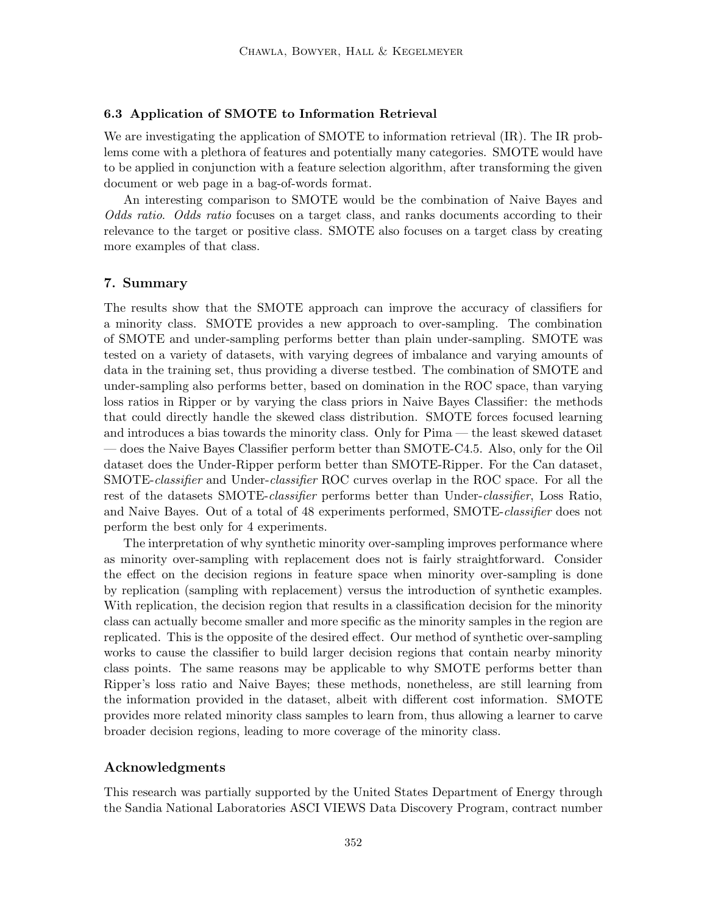### **6.3 Application of SMOTE to Information Retrieval**

We are investigating the application of SMOTE to information retrieval (IR). The IR problems come with a plethora of features and potentially many categories. SMOTE would have to be applied in conjunction with a feature selection algorithm, after transforming the given document or web page in a bag-of-words format.

An interesting comparison to SMOTE would be the combination of Naive Bayes and *Odds ratio*. *Odds ratio* focuses on a target class, and ranks documents according to their relevance to the target or positive class. SMOTE also focuses on a target class by creating more examples of that class.

#### **7. Summary**

The results show that the SMOTE approach can improve the accuracy of classifiers for a minority class. SMOTE provides a new approach to over-sampling. The combination of SMOTE and under-sampling performs better than plain under-sampling. SMOTE was tested on a variety of datasets, with varying degrees of imbalance and varying amounts of data in the training set, thus providing a diverse testbed. The combination of SMOTE and under-sampling also performs better, based on domination in the ROC space, than varying loss ratios in Ripper or by varying the class priors in Naive Bayes Classifier: the methods that could directly handle the skewed class distribution. SMOTE forces focused learning and introduces a bias towards the minority class. Only for Pima — the least skewed dataset — does the Naive Bayes Classifier perform better than SMOTE-C4.5. Also, only for the Oil dataset does the Under-Ripper perform better than SMOTE-Ripper. For the Can dataset, SMOTE-*classifier* and Under-*classifier* ROC curves overlap in the ROC space. For all the rest of the datasets SMOTE-*classifier* performs better than Under-*classifier*, Loss Ratio, and Naive Bayes. Out of a total of 48 experiments performed, SMOTE-*classifier* does not perform the best only for 4 experiments.

The interpretation of why synthetic minority over-sampling improves performance where as minority over-sampling with replacement does not is fairly straightforward. Consider the effect on the decision regions in feature space when minority over-sampling is done by replication (sampling with replacement) versus the introduction of synthetic examples. With replication, the decision region that results in a classification decision for the minority class can actually become smaller and more specific as the minority samples in the region are replicated. This is the opposite of the desired effect. Our method of synthetic over-sampling works to cause the classifier to build larger decision regions that contain nearby minority class points. The same reasons may be applicable to why SMOTE performs better than Ripper's loss ratio and Naive Bayes; these methods, nonetheless, are still learning from the information provided in the dataset, albeit with different cost information. SMOTE provides more related minority class samples to learn from, thus allowing a learner to carve broader decision regions, leading to more coverage of the minority class.

## **Acknowledgments**

This research was partially supported by the United States Department of Energy through the Sandia National Laboratories ASCI VIEWS Data Discovery Program, contract number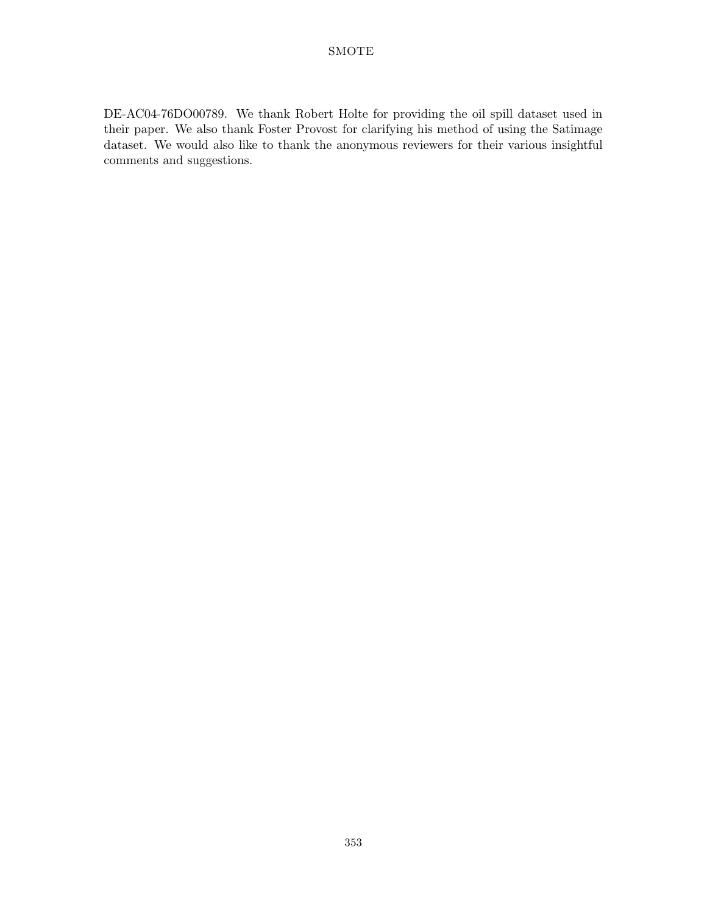DE-AC04-76DO00789. We thank Robert Holte for providing the oil spill dataset used in their paper. We also thank Foster Provost for clarifying his method of using the Satimage dataset. We would also like to thank the anonymous reviewers for their various insightful comments and suggestions.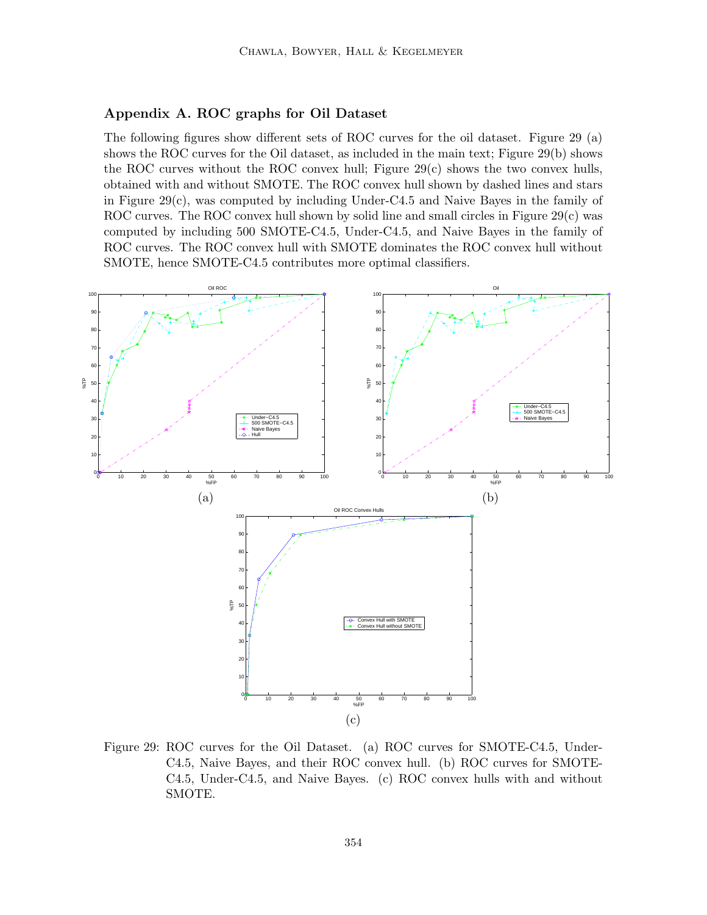## **Appendix A. ROC graphs for Oil Dataset**

The following figures show different sets of ROC curves for the oil dataset. Figure 29 (a) shows the ROC curves for the Oil dataset, as included in the main text; Figure  $29(b)$  shows the ROC curves without the ROC convex hull; Figure  $29(c)$  shows the two convex hulls, obtained with and without SMOTE. The ROC convex hull shown by dashed lines and stars in Figure 29(c), was computed by including Under-C4.5 and Naive Bayes in the family of ROC curves. The ROC convex hull shown by solid line and small circles in Figure  $29(c)$  was computed by including 500 SMOTE-C4.5, Under-C4.5, and Naive Bayes in the family of ROC curves. The ROC convex hull with SMOTE dominates the ROC convex hull without SMOTE, hence SMOTE-C4.5 contributes more optimal classifiers.



Figure 29: ROC curves for the Oil Dataset. (a) ROC curves for SMOTE-C4.5, Under-C4.5, Naive Bayes, and their ROC convex hull. (b) ROC curves for SMOTE-C4.5, Under-C4.5, and Naive Bayes. (c)ROC convex hulls with and without SMOTE.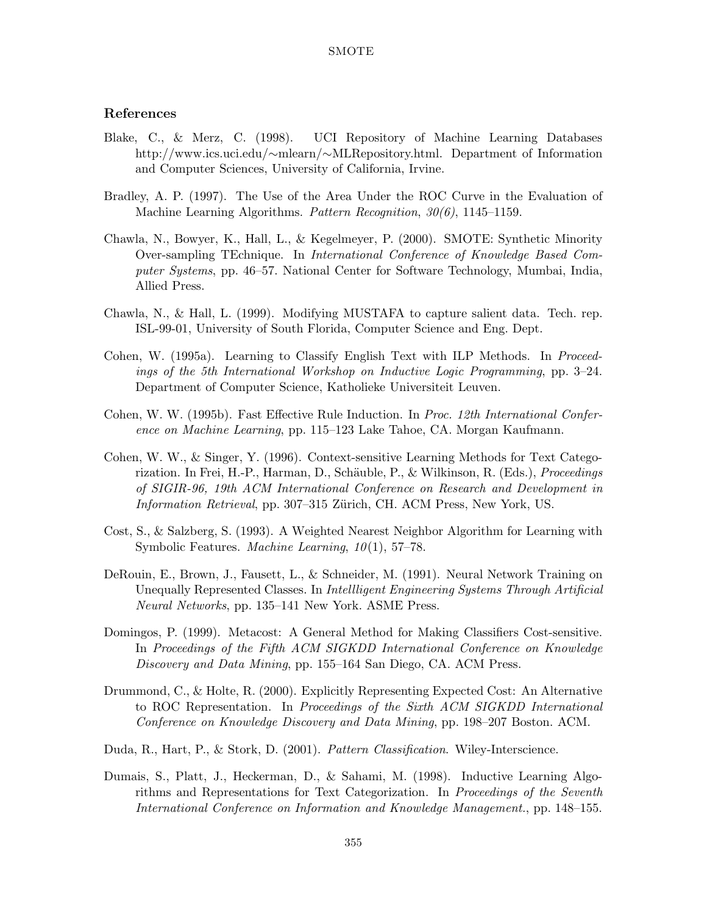## **References**

- Blake, C., & Merz, C. (1998). UCI Repository of Machine Learning Databases http://www.ics.uci.edu/∼mlearn/∼MLRepository.html. Department of Information and Computer Sciences, University of California, Irvine.
- Bradley, A. P. (1997). The Use of the Area Under the ROC Curve in the Evaluation of Machine Learning Algorithms. *Pattern Recognition*, *30(6)*, 1145–1159.
- Chawla, N., Bowyer, K., Hall, L., & Kegelmeyer, P. (2000). SMOTE: Synthetic Minority Over-sampling TEchnique. In *International Conference of Knowledge Based Computer Systems*, pp. 46–57. National Center for Software Technology, Mumbai, India, Allied Press.
- Chawla, N., & Hall, L. (1999). Modifying MUSTAFA to capture salient data. Tech. rep. ISL-99-01, University of South Florida, Computer Science and Eng. Dept.
- Cohen, W. (1995a). Learning to Classify English Text with ILP Methods. In *Proceedings of the 5th International Workshop on Inductive Logic Programming*, pp. 3–24. Department of Computer Science, Katholieke Universiteit Leuven.
- Cohen, W. W. (1995b). Fast Effective Rule Induction. In *Proc. 12th International Conference on Machine Learning*, pp. 115–123 Lake Tahoe, CA. Morgan Kaufmann.
- Cohen, W. W., & Singer, Y. (1996). Context-sensitive Learning Methods for Text Categorization. In Frei, H.-P., Harman, D., Schäuble, P., & Wilkinson, R. (Eds.), *Proceedings of SIGIR-96, 19th ACM International Conference on Research and Development in Information Retrieval*, pp. 307-315 Zürich, CH. ACM Press, New York, US.
- Cost, S., & Salzberg, S. (1993). A Weighted Nearest Neighbor Algorithm for Learning with Symbolic Features. *Machine Learning*, *10*(1), 57–78.
- DeRouin, E., Brown, J., Fausett, L., & Schneider, M. (1991). Neural Network Training on Unequally Represented Classes. In *Intellligent Engineering Systems Through Artificial Neural Networks*, pp. 135–141 New York. ASME Press.
- Domingos, P. (1999). Metacost: A General Method for Making Classifiers Cost-sensitive. In *Proceedings of the Fifth ACM SIGKDD International Conference on Knowledge Discovery and Data Mining*, pp. 155–164 San Diego, CA. ACM Press.
- Drummond, C., & Holte, R. (2000). Explicitly Representing Expected Cost: An Alternative to ROC Representation. In *Proceedings of the Sixth ACM SIGKDD International Conference on Knowledge Discovery and Data Mining*, pp. 198–207 Boston. ACM.
- Duda, R., Hart, P., & Stork, D. (2001). *Pattern Classification*. Wiley-Interscience.
- Dumais, S., Platt, J., Heckerman, D., & Sahami, M. (1998). Inductive Learning Algorithms and Representations for Text Categorization. In *Proceedings of the Seventh International Conference on Information and Knowledge Management.*, pp. 148–155.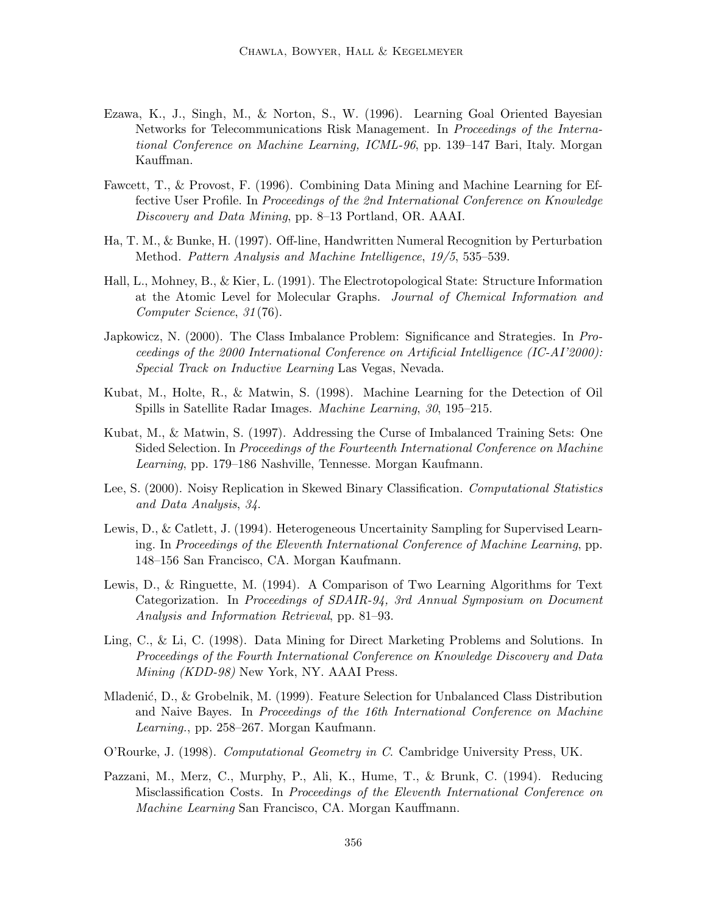- Ezawa, K., J., Singh, M., & Norton, S., W. (1996). Learning Goal Oriented Bayesian Networks for Telecommunications Risk Management. In *Proceedings of the International Conference on Machine Learning, ICML-96*, pp. 139–147 Bari, Italy. Morgan Kauffman.
- Fawcett, T., & Provost, F. (1996). Combining Data Mining and Machine Learning for Effective User Profile. In *Proceedings of the 2nd International Conference on Knowledge Discovery and Data Mining*, pp. 8–13 Portland, OR. AAAI.
- Ha, T. M., & Bunke, H. (1997). Off-line, Handwritten Numeral Recognition by Perturbation Method. *Pattern Analysis and Machine Intelligence*, *19/5*, 535–539.
- Hall, L., Mohney, B., & Kier, L. (1991). The Electrotopological State: Structure Information at the Atomic Level for Molecular Graphs. *Journal of Chemical Information and Computer Science*, *31*(76).
- Japkowicz, N. (2000). The Class Imbalance Problem: Significance and Strategies. In *Proceedings of the 2000 International Conference on Artificial Intelligence (IC-AI'2000): Special Track on Inductive Learning* Las Vegas, Nevada.
- Kubat, M., Holte, R., & Matwin, S. (1998). Machine Learning for the Detection of Oil Spills in Satellite Radar Images. *Machine Learning*, *30*, 195–215.
- Kubat, M., & Matwin, S. (1997). Addressing the Curse of Imbalanced Training Sets: One Sided Selection. In *Proceedings of the Fourteenth International Conference on Machine Learning*, pp. 179–186 Nashville, Tennesse. Morgan Kaufmann.
- Lee, S. (2000). Noisy Replication in Skewed Binary Classification. *Computational Statistics and Data Analysis*, *34*.
- Lewis, D., & Catlett, J. (1994). Heterogeneous Uncertainity Sampling for Supervised Learning. In *Proceedings of the Eleventh International Conference of Machine Learning*, pp. 148–156 San Francisco, CA. Morgan Kaufmann.
- Lewis, D., & Ringuette, M. (1994). A Comparison of Two Learning Algorithms for Text Categorization. In *Proceedings of SDAIR-94, 3rd Annual Symposium on Document Analysis and Information Retrieval*, pp. 81–93.
- Ling, C., & Li, C. (1998). Data Mining for Direct Marketing Problems and Solutions. In *Proceedings of the Fourth International Conference on Knowledge Discovery and Data Mining (KDD-98)* New York, NY. AAAI Press.
- Mladenić, D., & Grobelnik, M. (1999). Feature Selection for Unbalanced Class Distribution and Naive Bayes. In *Proceedings of the 16th International Conference on Machine Learning.*, pp. 258–267. Morgan Kaufmann.
- O'Rourke, J. (1998). *Computational Geometry in C*. Cambridge University Press, UK.
- Pazzani, M., Merz, C., Murphy, P., Ali, K., Hume, T., & Brunk, C. (1994). Reducing Misclassification Costs. In *Proceedings of the Eleventh International Conference on Machine Learning* San Francisco, CA. Morgan Kauffmann.